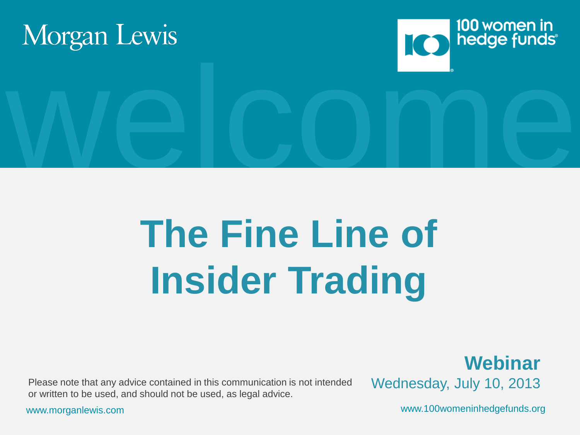

# **The Fine Line of Insider Trading**

Please note that any advice contained in this communication is not intended Wednesday, July 10, 2013 or written to be used, and should not be used, as legal advice.

**Webinar**

www.morganlewis.com www.100womeninhedgefunds.org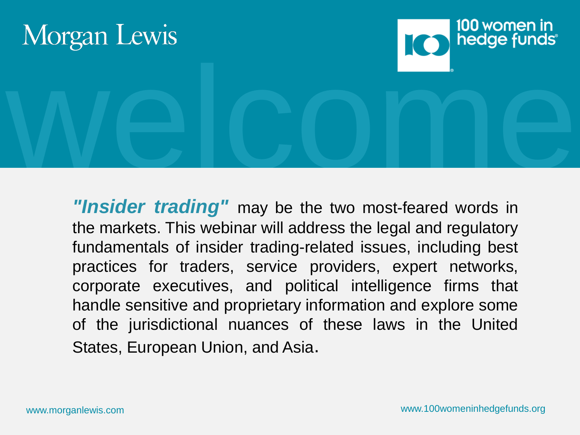



*"Insider trading"* may be the two most-feared words in the markets. This webinar will address the legal and regulatory fundamentals of insider trading-related issues, including best practices for traders, service providers, expert networks, corporate executives, and political intelligence firms that handle sensitive and proprietary information and explore some of the jurisdictional nuances of these laws in the United States, European Union, and Asia.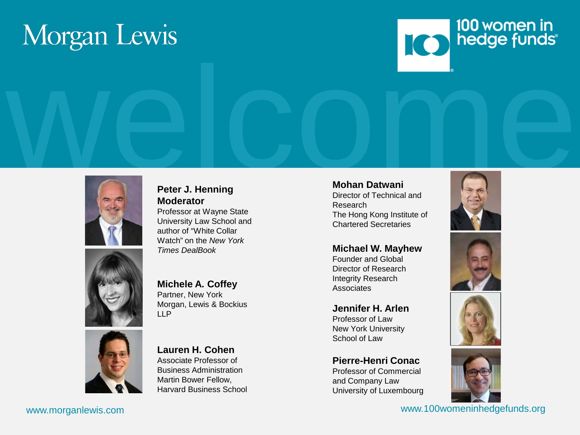# Morgan Lewis





#### **Peter J. Henning Moderator**

Professor at Wayne State University Law School and author of "White Collar Watch" on the *New York Times DealBook*



#### **Michele A. Coffey**

Partner, New York Morgan, Lewis & Bockius LLP



#### **Lauren H. Cohen**

Associate Professor of Business Administration Martin Bower Fellow, Harvard Business School

#### **Mohan Datwani**

Director of Technical and Research The Hong Kong Institute of Chartered Secretaries

#### **Michael W. Mayhew**

Founder and Global Director of Research Integrity Research **Associates** 

**Jennifer H. Arlen** Professor of Law New York University School of Law

#### **Pierre-Henri Conac**

Professor of Commercial and Company Law University of Luxembourg









www.morganlewis.com www.100womeninhedgefunds.org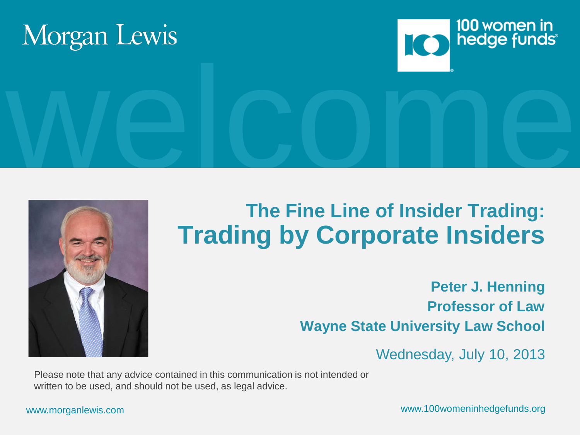





#### **The Fine Line of Insider Trading: Trading by Corporate Insiders**

**Peter J. Henning Professor of Law Wayne State University Law School**

Wednesday, July 10, 2013

Please note that any advice contained in this communication is not intended or written to be used, and should not be used, as legal advice.

www.morganlewis.com www.100womeninhedgefunds.org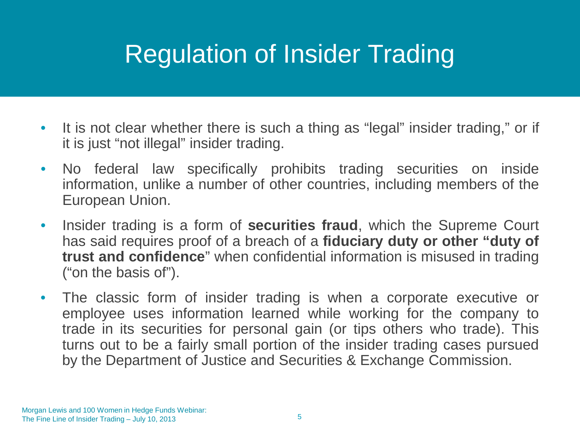### Regulation of Insider Trading

- It is not clear whether there is such a thing as "legal" insider trading," or if it is just "not illegal" insider trading.
- No federal law specifically prohibits trading securities on inside information, unlike a number of other countries, including members of the European Union.
- Insider trading is a form of **securities fraud**, which the Supreme Court has said requires proof of a breach of a **fiduciary duty or other "duty of trust and confidence**" when confidential information is misused in trading ("on the basis of").
- The classic form of insider trading is when a corporate executive or employee uses information learned while working for the company to trade in its securities for personal gain (or tips others who trade). This turns out to be a fairly small portion of the insider trading cases pursued by the Department of Justice and Securities & Exchange Commission.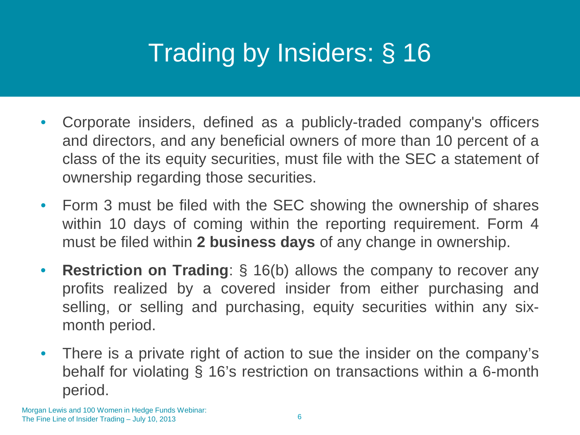# Trading by Insiders: § 16

- Corporate insiders, defined as a publicly-traded company's officers and directors, and any beneficial owners of more than 10 percent of a class of the its equity securities, must file with the SEC a statement of ownership regarding those securities.
- Form 3 must be filed with the SEC showing the ownership of shares within 10 days of coming within the reporting requirement. Form 4 must be filed within **2 business days** of any change in ownership.
- **Restriction on Trading**: § 16(b) allows the company to recover any profits realized by a covered insider from either purchasing and selling, or selling and purchasing, equity securities within any sixmonth period.
- There is a private right of action to sue the insider on the company's behalf for violating § 16's restriction on transactions within a 6-month period.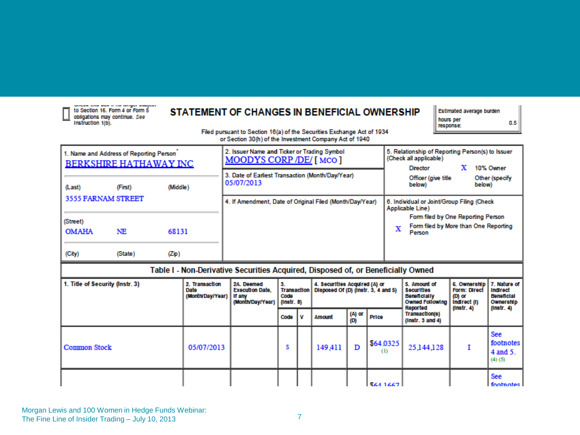| sensor and loss in my proper standard.                                                |
|---------------------------------------------------------------------------------------|
| to Section 16. Form 4 or Form 5<br>obligations may continue. See<br>Instruction 1(b). |

#### STATEMENT OF CHANGES IN BENEFICIAL OWNERSHIP

| Estimated average burden |     |
|--------------------------|-----|
| hours per<br>response:   | 0.5 |

Filed pursuant to Section 16(a) of the Securities Exchange Act of 1934<br>or Section 30(h) of the Investment Company Act of 1940

| 1. Name and Address of Reporting Person<br><b>BERKSHIRE HATHAWAY INC</b>         |         |          | 2. Issuer Name and Ticker or Trading Symbol<br>MOODYS CORP /DE/ [MCO] | 5. Relationship of Reporting Person(s) to Issuer<br>(Check all applicable)<br>10% Owner<br><b>Director</b> |  |  |  |  |
|----------------------------------------------------------------------------------|---------|----------|-----------------------------------------------------------------------|------------------------------------------------------------------------------------------------------------|--|--|--|--|
| (Last)                                                                           | (First) | (Middle) | 3. Date of Earliest Transaction (Month/Day/Year)<br>05/07/2013        | Officer (give title<br>Other (specify<br>below)<br>below)                                                  |  |  |  |  |
| 3555 FARNAM STREET                                                               |         |          | 4. If Amendment, Date of Original Filed (Month/Day/Year)              | 6. Individual or Joint/Group Filing (Check<br>Applicable Line)                                             |  |  |  |  |
| (Street)                                                                         |         |          |                                                                       | Form filed by One Reporting Person                                                                         |  |  |  |  |
| <b>OMAHA</b>                                                                     | NE      | 68131    |                                                                       | Form filed by More than One Reporting<br>x<br>Person                                                       |  |  |  |  |
| (City)                                                                           | (State) | (Zip)    |                                                                       |                                                                                                            |  |  |  |  |
| Table I - Non-Derivative Securities Acquired, Disposed of, or Beneficially Owned |         |          |                                                                       |                                                                                                            |  |  |  |  |
|                                                                                  |         |          |                                                                       |                                                                                                            |  |  |  |  |

| 1. Title of Security (Instr. 3) | 2. Transaction<br>Date<br>(Month/Day/Year) | 2A. Deemed<br><b>Execution Date.</b><br>If any<br>(Month/Day/Year) | 3.<br><b>Transaction</b><br>Code<br>(1nstr. 8) |   | 4. Securities Acquired (A) or<br>Disposed Of (D) (Instr. 3, 4 and 5) |               |                  | 5. Amount of<br><b>Securities</b><br><b>Beneficially</b><br><b>Owned Following</b><br>Reported | 6. Ownership   7. Nature of<br><b>Form: Direct</b><br>(D) or<br>Indirect (I)<br>(1nstr. 4) | Indirect<br><b>Beneficial</b><br>Ownership<br>$($ lnstr. 4 $)$ |
|---------------------------------|--------------------------------------------|--------------------------------------------------------------------|------------------------------------------------|---|----------------------------------------------------------------------|---------------|------------------|------------------------------------------------------------------------------------------------|--------------------------------------------------------------------------------------------|----------------------------------------------------------------|
|                                 |                                            |                                                                    | Code                                           | u | Amount                                                               | (A) or<br>(D) | Price            | Transaction(s)<br>(1nstr. 3 and 4)                                                             |                                                                                            |                                                                |
| <b>Common Stock</b>             | 05/07/2013                                 |                                                                    |                                                |   | 149,411                                                              | D             | \$64.0325<br>(1) | 25,144,128                                                                                     |                                                                                            | See<br>footnotes<br>4 and 5.<br>(4)(5)                         |
|                                 |                                            |                                                                    |                                                |   |                                                                      |               | <b>S64 1667</b>  |                                                                                                |                                                                                            | See<br>footnotes l                                             |

Morgan Lewis and 100 Women in Hedge Funds Webinar: The Fine Line of Insider Trading – July 10, 2013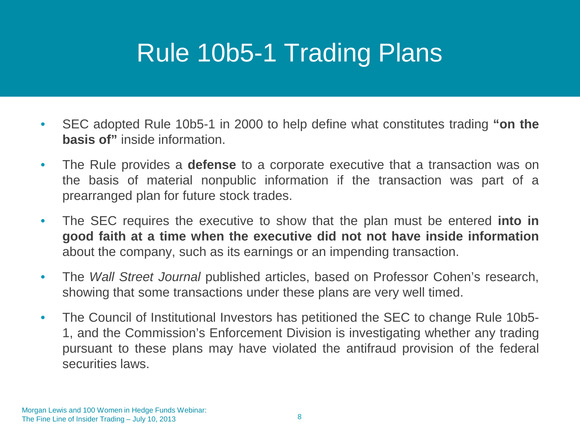### Rule 10b5-1 Trading Plans

- SEC adopted Rule 10b5-1 in 2000 to help define what constitutes trading **"on the basis of"** inside information.
- The Rule provides a **defense** to a corporate executive that a transaction was on the basis of material nonpublic information if the transaction was part of a prearranged plan for future stock trades.
- The SEC requires the executive to show that the plan must be entered **into in good faith at a time when the executive did not not have inside information** about the company, such as its earnings or an impending transaction.
- The *Wall Street Journal* published articles, based on Professor Cohen's research, showing that some transactions under these plans are very well timed.
- The Council of Institutional Investors has petitioned the SEC to change Rule 10b5-1, and the Commission's Enforcement Division is investigating whether any trading pursuant to these plans may have violated the antifraud provision of the federal securities laws.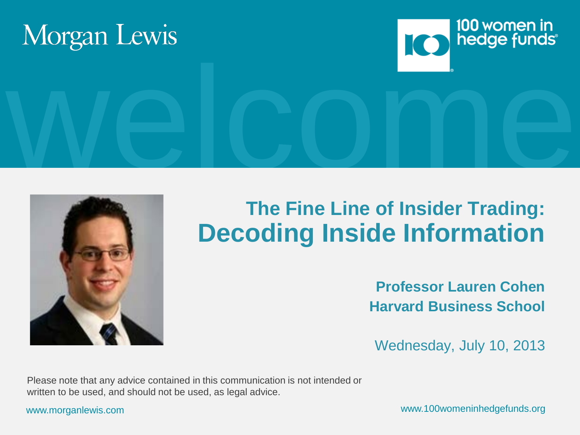





#### **The Fine Line of Insider Trading: Decoding Inside Information**

**Professor Lauren Cohen Harvard Business School**

Wednesday, July 10, 2013

Please note that any advice contained in this communication is not intended or written to be used, and should not be used, as legal advice.

www.morganlewis.com www.100womeninhedgefunds.org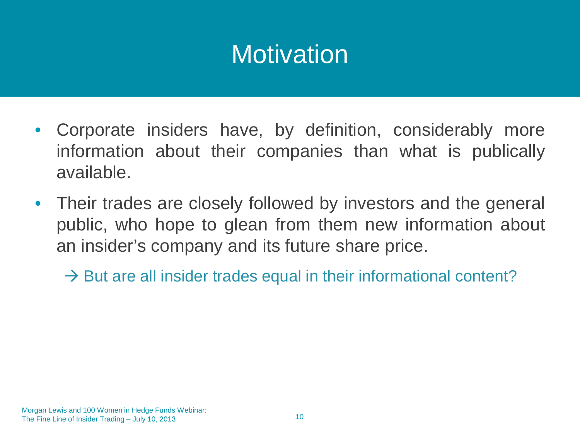### **Motivation**

- Corporate insiders have, by definition, considerably more information about their companies than what is publically available.
- Their trades are closely followed by investors and the general public, who hope to glean from them new information about an insider's company and its future share price.
	- $\rightarrow$  But are all insider trades equal in their informational content?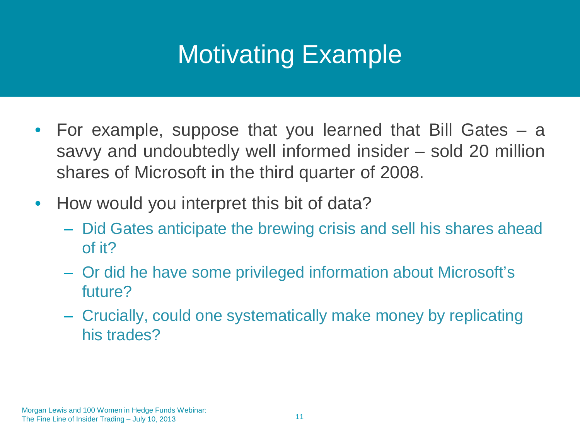# Motivating Example

- For example, suppose that you learned that Bill Gates a savvy and undoubtedly well informed insider – sold 20 million shares of Microsoft in the third quarter of 2008.
- How would you interpret this bit of data?
	- Did Gates anticipate the brewing crisis and sell his shares ahead of it?
	- Or did he have some privileged information about Microsoft's future?
	- Crucially, could one systematically make money by replicating his trades?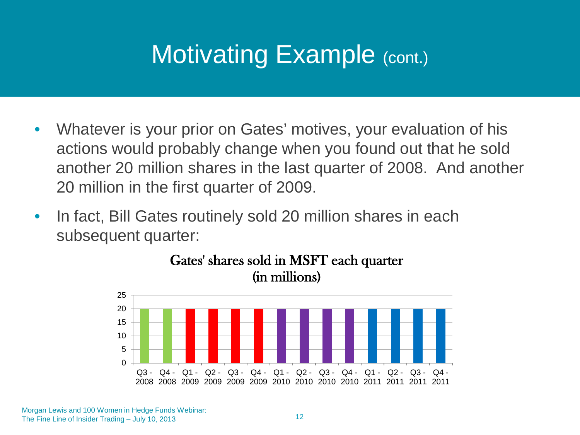#### Motivating Example (cont.)

- Whatever is your prior on Gates' motives, your evaluation of his actions would probably change when you found out that he sold another 20 million shares in the last quarter of 2008. And another 20 million in the first quarter of 2009.
- In fact, Bill Gates routinely sold 20 million shares in each subsequent quarter:



Gates' shares sold in MSFT each quarter (in millions)

Morgan Lewis and 100 Women in Hedge Funds Webinar: The Fine Line of Insider Trading – July 10, 2013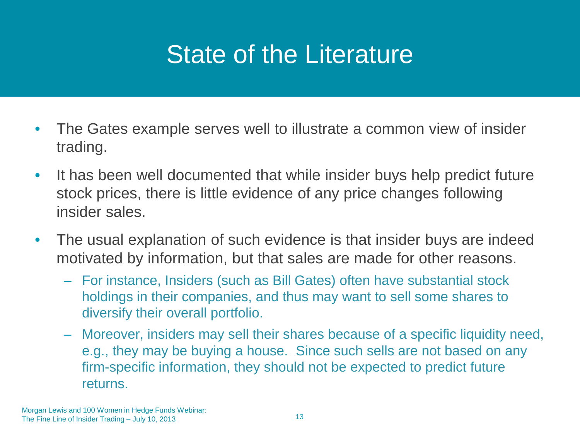#### State of the Literature

- The Gates example serves well to illustrate a common view of insider trading.
- It has been well documented that while insider buys help predict future stock prices, there is little evidence of any price changes following insider sales.
- The usual explanation of such evidence is that insider buys are indeed motivated by information, but that sales are made for other reasons.
	- For instance, Insiders (such as Bill Gates) often have substantial stock holdings in their companies, and thus may want to sell some shares to diversify their overall portfolio.
	- Moreover, insiders may sell their shares because of a specific liquidity need, e.g., they may be buying a house. Since such sells are not based on any firm-specific information, they should not be expected to predict future returns.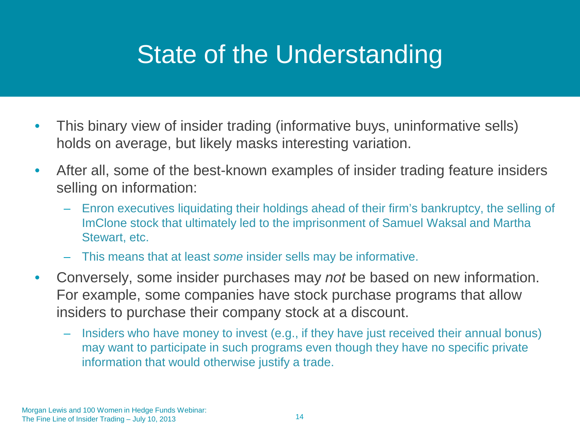#### State of the Understanding

- This binary view of insider trading (informative buys, uninformative sells) holds on average, but likely masks interesting variation.
- After all, some of the best-known examples of insider trading feature insiders selling on information:
	- Enron executives liquidating their holdings ahead of their firm's bankruptcy, the selling of ImClone stock that ultimately led to the imprisonment of Samuel Waksal and Martha Stewart, etc.
	- This means that at least *some* insider sells may be informative.
- Conversely, some insider purchases may *not* be based on new information. For example, some companies have stock purchase programs that allow insiders to purchase their company stock at a discount.
	- Insiders who have money to invest (e.g., if they have just received their annual bonus) may want to participate in such programs even though they have no specific private information that would otherwise justify a trade.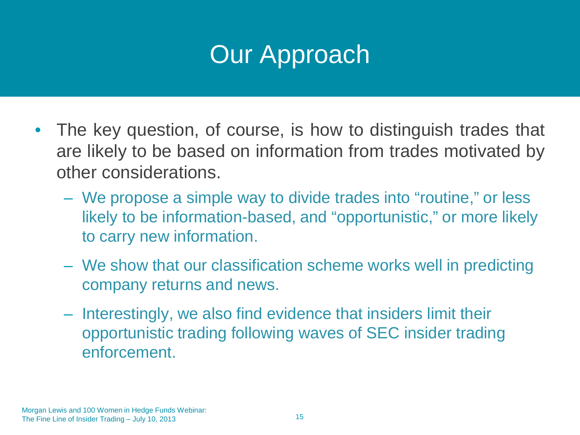## Our Approach

- The key question, of course, is how to distinguish trades that are likely to be based on information from trades motivated by other considerations.
	- We propose a simple way to divide trades into "routine," or less likely to be information-based, and "opportunistic," or more likely to carry new information.
	- We show that our classification scheme works well in predicting company returns and news.
	- Interestingly, we also find evidence that insiders limit their opportunistic trading following waves of SEC insider trading enforcement.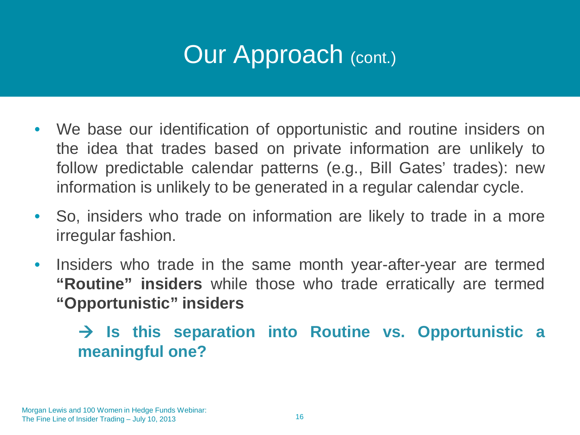## Our Approach (cont.)

- We base our identification of opportunistic and routine insiders on the idea that trades based on private information are unlikely to follow predictable calendar patterns (e.g., Bill Gates' trades): new information is unlikely to be generated in a regular calendar cycle.
- So, insiders who trade on information are likely to trade in a more irregular fashion.
- Insiders who trade in the same month year-after-year are termed **"Routine" insiders** while those who trade erratically are termed **"Opportunistic" insiders**

 **Is this separation into Routine vs. Opportunistic a meaningful one?**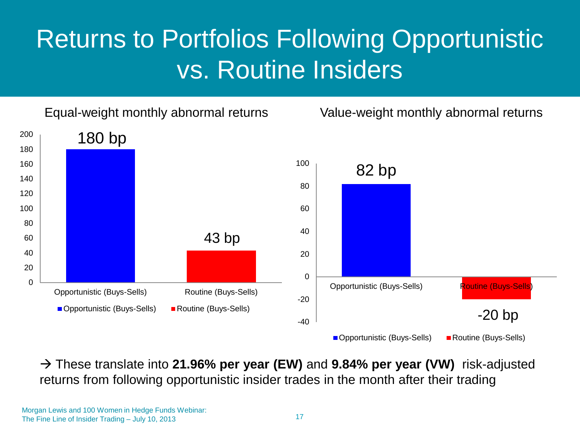## Returns to Portfolios Following Opportunistic vs. Routine Insiders

Equal-weight monthly abnormal returns Value-weight monthly abnormal returns



 These translate into **21.96% per year (EW)** and **9.84% per year (VW)** risk-adjusted returns from following opportunistic insider trades in the month after their trading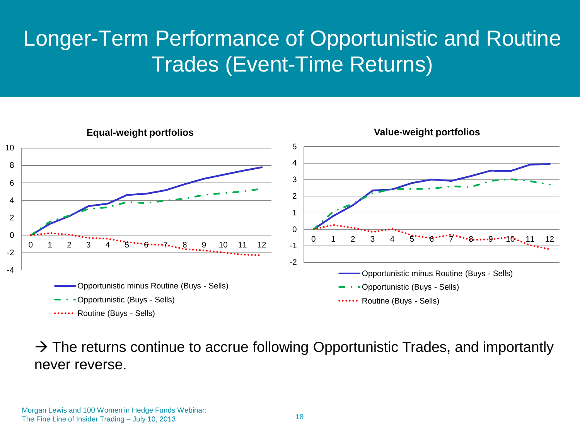#### Longer-Term Performance of Opportunistic and Routine Trades (Event-Time Returns)



 $\rightarrow$  The returns continue to accrue following Opportunistic Trades, and importantly never reverse.

Morgan Lewis and 100 Women in Hedge Funds Webinar: The Fine Line of Insider Trading – July 10, 2013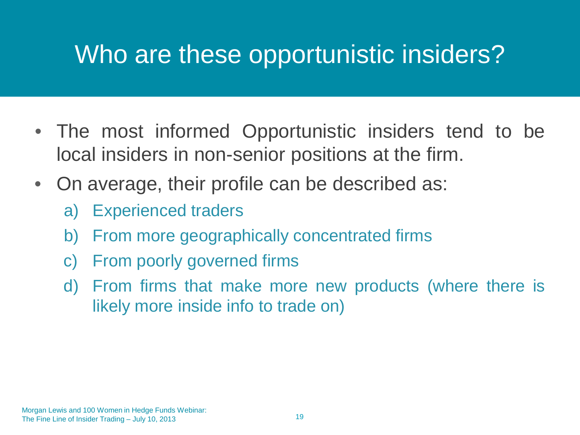#### Who are these opportunistic insiders?

- The most informed Opportunistic insiders tend to be local insiders in non-senior positions at the firm.
- On average, their profile can be described as:
	- a) Experienced traders
	- b) From more geographically concentrated firms
	- c) From poorly governed firms
	- d) From firms that make more new products (where there is likely more inside info to trade on)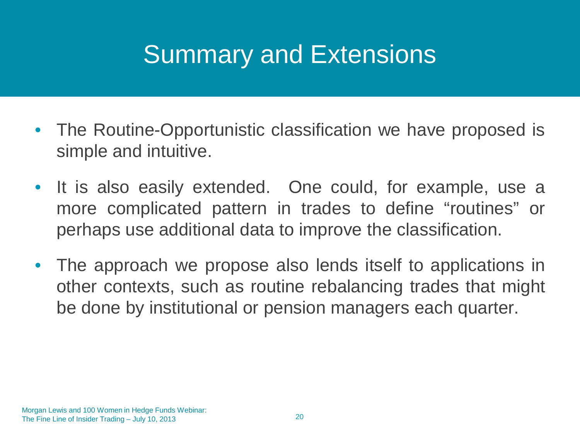#### Summary and Extensions

- The Routine-Opportunistic classification we have proposed is simple and intuitive.
- It is also easily extended. One could, for example, use a more complicated pattern in trades to define "routines" or perhaps use additional data to improve the classification.
- The approach we propose also lends itself to applications in other contexts, such as routine rebalancing trades that might be done by institutional or pension managers each quarter.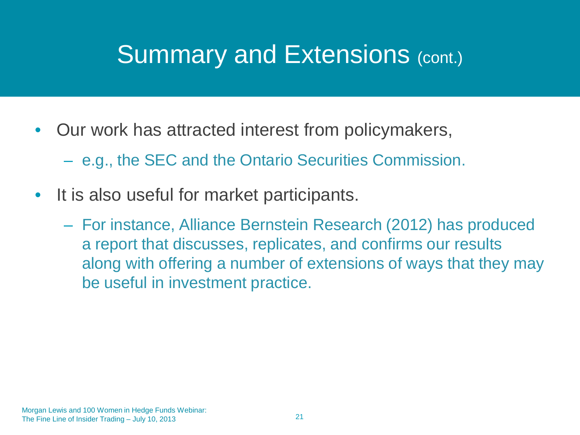#### Summary and Extensions (cont.)

- Our work has attracted interest from policymakers,
	- e.g., the SEC and the Ontario Securities Commission.
- It is also useful for market participants.
	- For instance, Alliance Bernstein Research (2012) has produced a report that discusses, replicates, and confirms our results along with offering a number of extensions of ways that they may be useful in investment practice.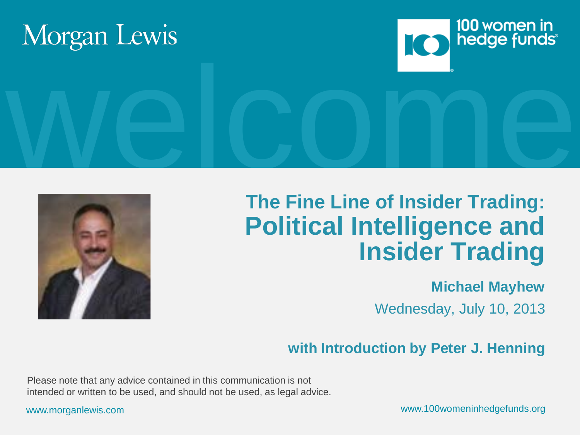





# Welcome<br>The Fine Line of Insider Trading: **The Fine Line of Insider Trading: Political Intelligence and Insider Trading**

#### **Michael Mayhew**

Wednesday, July 10, 2013

#### **with Introduction by Peter J. Henning**

Please note that any advice contained in this communication is not intended or written to be used, and should not be used, as legal advice.

www.morganlewis.com www.100womeninhedgefunds.org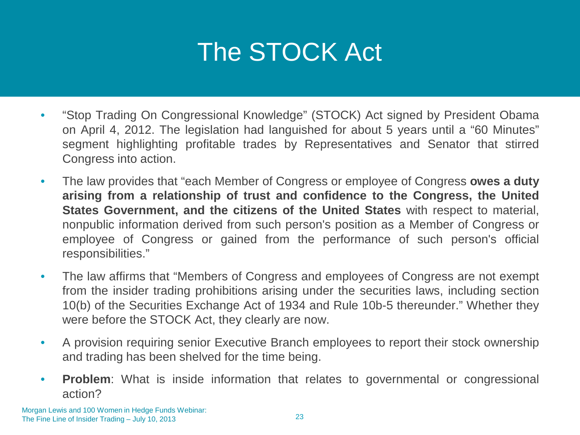# The STOCK Act

- "Stop Trading On Congressional Knowledge" (STOCK) Act signed by President Obama on April 4, 2012. The legislation had languished for about 5 years until a "60 Minutes" segment highlighting profitable trades by Representatives and Senator that stirred Congress into action.
- The law provides that "each Member of Congress or employee of Congress **owes a duty arising from a relationship of trust and confidence to the Congress, the United States Government, and the citizens of the United States** with respect to material, nonpublic information derived from such person's position as a Member of Congress or employee of Congress or gained from the performance of such person's official responsibilities."
- The law affirms that "Members of Congress and employees of Congress are not exempt from the insider trading prohibitions arising under the securities laws, including section 10(b) of the Securities Exchange Act of 1934 and Rule 10b-5 thereunder." Whether they were before the STOCK Act, they clearly are now.
- A provision requiring senior Executive Branch employees to report their stock ownership and trading has been shelved for the time being.
- **Problem**: What is inside information that relates to governmental or congressional action?

Morgan Lewis and 100 Women in Hedge Funds Webinar: The Fine Line of Insider Trading – July 10, 2013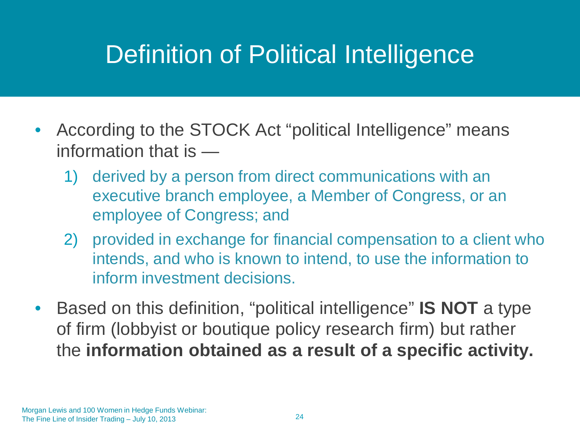### Definition of Political Intelligence

- According to the STOCK Act "political Intelligence" means information that is —
	- 1) derived by a person from direct communications with an executive branch employee, a Member of Congress, or an employee of Congress; and
	- 2) provided in exchange for financial compensation to a client who intends, and who is known to intend, to use the information to inform investment decisions.
- Based on this definition, "political intelligence" **IS NOT** a type of firm (lobbyist or boutique policy research firm) but rather the **information obtained as a result of a specific activity.**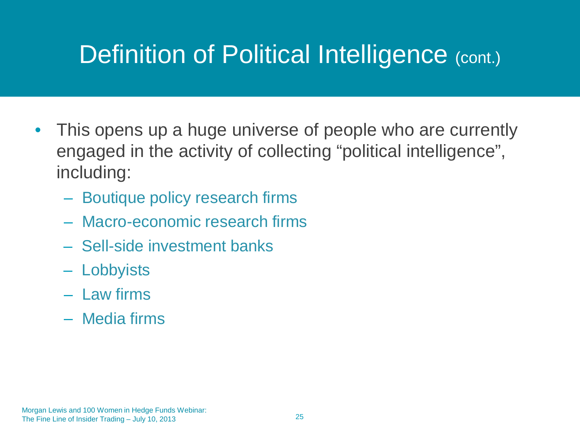### Definition of Political Intelligence (cont.)

- This opens up a huge universe of people who are currently engaged in the activity of collecting "political intelligence", including:
	- Boutique policy research firms
	- Macro-economic research firms
	- Sell-side investment banks
	- Lobbyists
	- Law firms
	- Media firms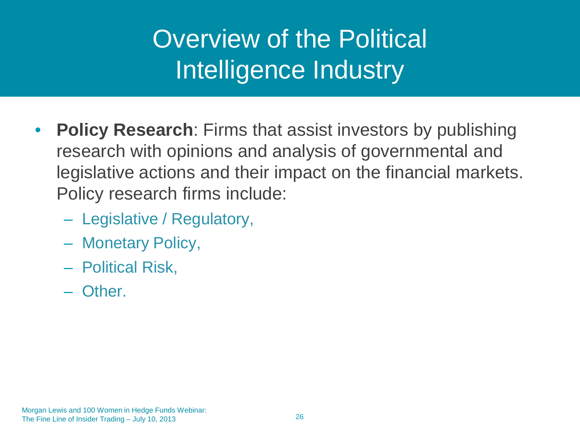- **Policy Research**: Firms that assist investors by publishing research with opinions and analysis of governmental and legislative actions and their impact on the financial markets. Policy research firms include:
	- Legislative / Regulatory,
	- Monetary Policy,
	- Political Risk,
	- Other.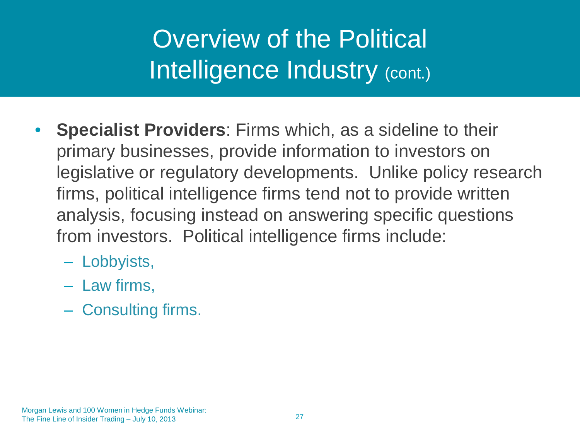- **Specialist Providers**: Firms which, as a sideline to their primary businesses, provide information to investors on legislative or regulatory developments. Unlike policy research firms, political intelligence firms tend not to provide written analysis, focusing instead on answering specific questions from investors. Political intelligence firms include:
	- Lobbyists,
	- Law firms,
	- Consulting firms.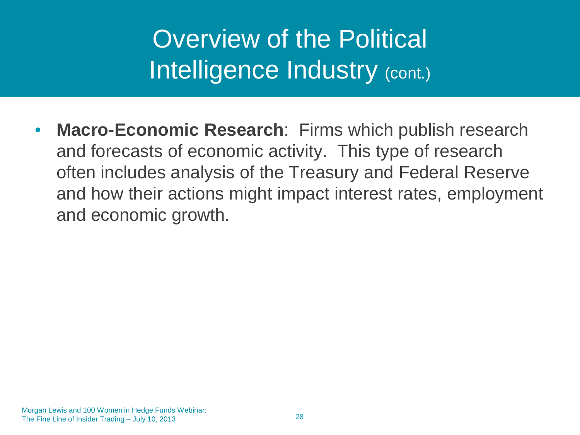**Macro-Economic Research:** Firms which publish research and forecasts of economic activity. This type of research often includes analysis of the Treasury and Federal Reserve and how their actions might impact interest rates, employment and economic growth.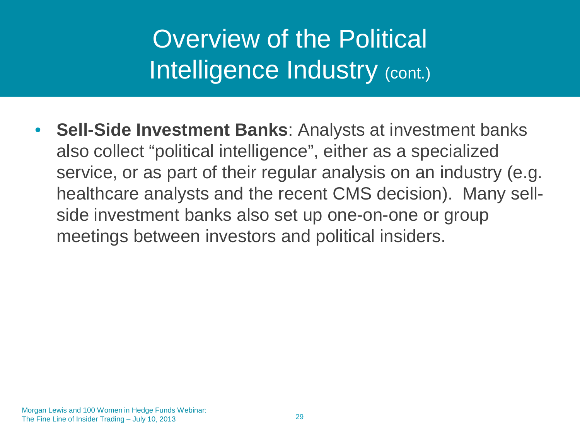• **Sell-Side Investment Banks**: Analysts at investment banks also collect "political intelligence", either as a specialized service, or as part of their regular analysis on an industry (e.g. healthcare analysts and the recent CMS decision). Many sellside investment banks also set up one-on-one or group meetings between investors and political insiders.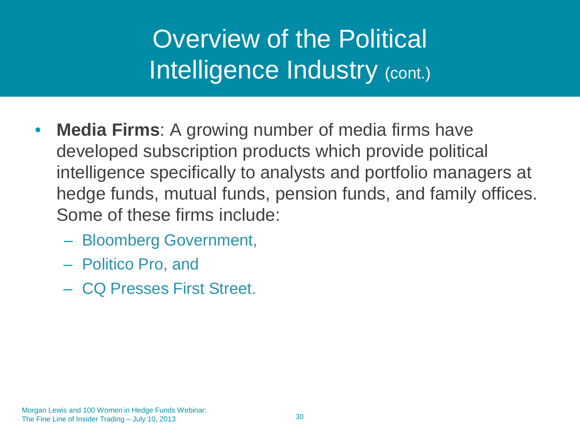- **Media Firms**: A growing number of media firms have developed subscription products which provide political intelligence specifically to analysts and portfolio managers at hedge funds, mutual funds, pension funds, and family offices. Some of these firms include:
	- Bloomberg Government,
	- Politico Pro, and
	- CQ Presses First Street.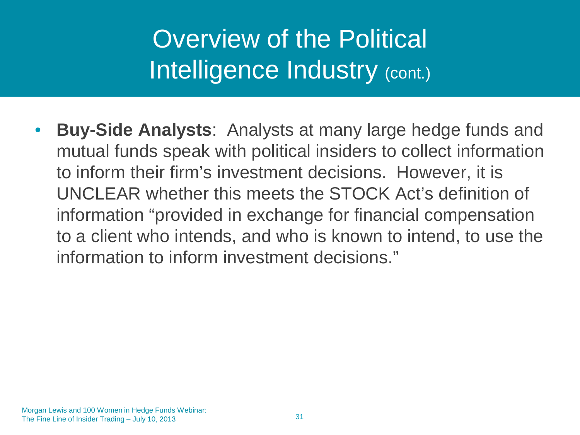• **Buy-Side Analysts**: Analysts at many large hedge funds and mutual funds speak with political insiders to collect information to inform their firm's investment decisions. However, it is UNCLEAR whether this meets the STOCK Act's definition of information "provided in exchange for financial compensation to a client who intends, and who is known to intend, to use the information to inform investment decisions."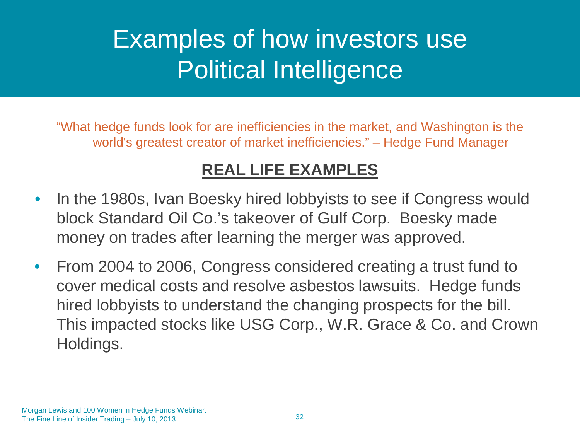### Examples of how investors use Political Intelligence

"What hedge funds look for are inefficiencies in the market, and Washington is the world's greatest creator of market inefficiencies." – Hedge Fund Manager

#### **REAL LIFE EXAMPLES**

- In the 1980s, Ivan Boesky hired lobbyists to see if Congress would block Standard Oil Co.'s takeover of Gulf Corp. Boesky made money on trades after learning the merger was approved.
- From 2004 to 2006, Congress considered creating a trust fund to cover medical costs and resolve asbestos lawsuits. Hedge funds hired lobbyists to understand the changing prospects for the bill. This impacted stocks like USG Corp., W.R. Grace & Co. and Crown Holdings.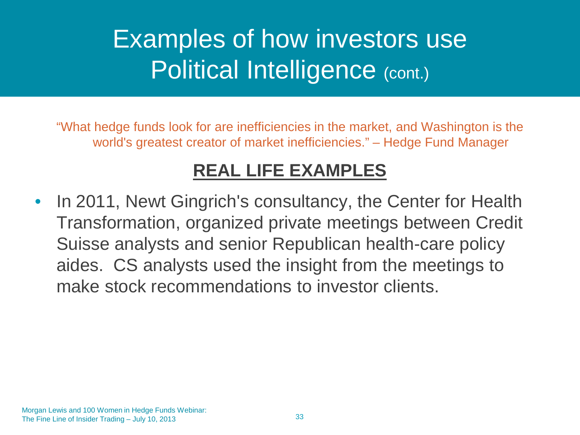### Examples of how investors use Political Intelligence (cont.)

"What hedge funds look for are inefficiencies in the market, and Washington is the world's greatest creator of market inefficiencies." – Hedge Fund Manager

#### **REAL LIFE EXAMPLES**

• In 2011, Newt Gingrich's consultancy, the Center for Health Transformation, organized private meetings between Credit Suisse analysts and senior Republican health-care policy aides. CS analysts used the insight from the meetings to make stock recommendations to investor clients.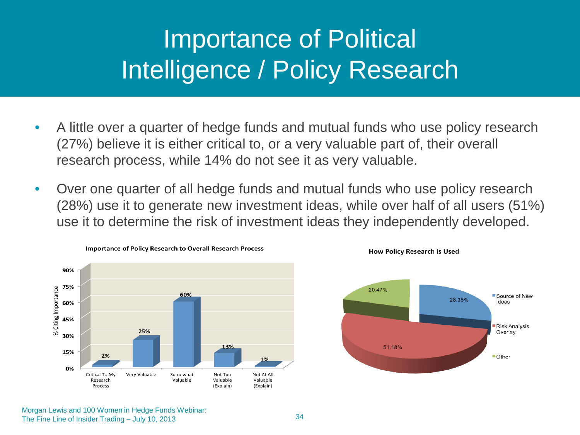### Importance of Political Intelligence / Policy Research

- A little over a quarter of hedge funds and mutual funds who use policy research (27%) believe it is either critical to, or a very valuable part of, their overall research process, while 14% do not see it as very valuable.
- Over one quarter of all hedge funds and mutual funds who use policy research (28%) use it to generate new investment ideas, while over half of all users (51%) use it to determine the risk of investment ideas they independently developed.





**How Policy Research is Used**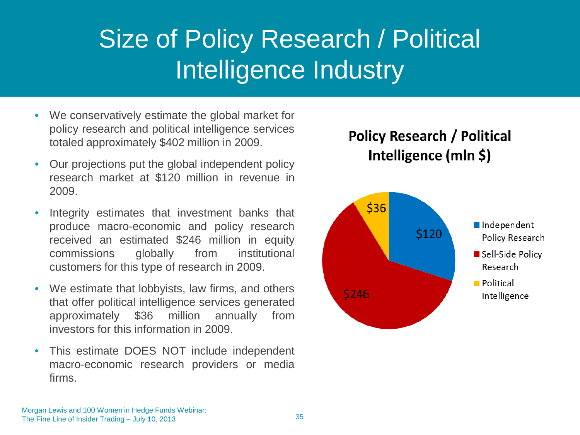### Size of Policy Research / Political Intelligence Industry

- We conservatively estimate the global market for policy research and political intelligence services totaled approximately \$402 million in 2009.
- Our projections put the global independent policy research market at \$120 million in revenue in 2009.
- Integrity estimates that investment banks that produce macro-economic and policy research received an estimated \$246 million in equity commissions globally from institutional customers for this type of research in 2009.
- We estimate that lobbyists, law firms, and others that offer political intelligence services generated approximately \$36 million annually from investors for this information in 2009.
- This estimate DOES NOT include independent macro-economic research providers or media firms.

#### **Policy Research / Political** Intelligence (mln \$)

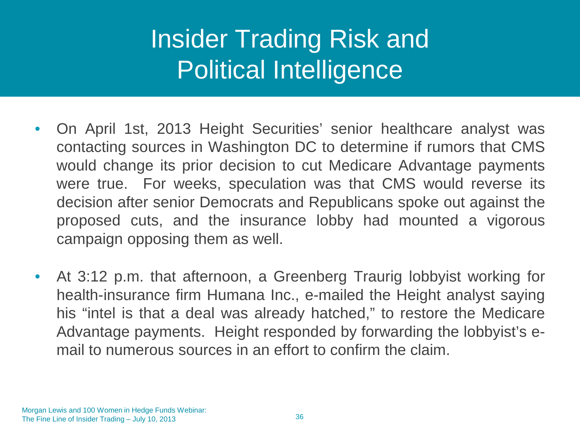## Insider Trading Risk and Political Intelligence

- On April 1st, 2013 Height Securities' senior healthcare analyst was contacting sources in Washington DC to determine if rumors that CMS would change its prior decision to cut Medicare Advantage payments were true. For weeks, speculation was that CMS would reverse its decision after senior Democrats and Republicans spoke out against the proposed cuts, and the insurance lobby had mounted a vigorous campaign opposing them as well.
- At 3:12 p.m. that afternoon, a Greenberg Traurig lobbyist working for health-insurance firm Humana Inc., e-mailed the Height analyst saying his "intel is that a deal was already hatched," to restore the Medicare Advantage payments. Height responded by forwarding the lobbyist's email to numerous sources in an effort to confirm the claim.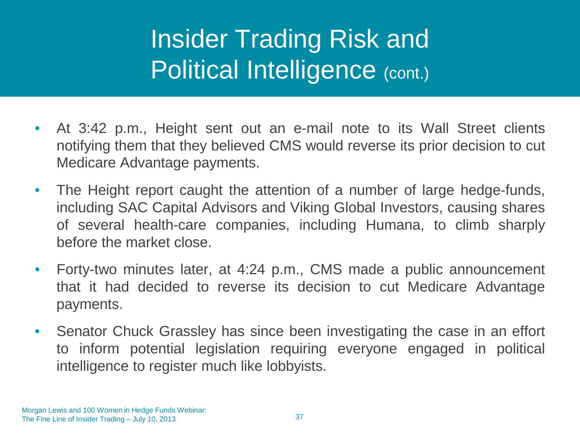- At 3:42 p.m., Height sent out an e-mail note to its Wall Street clients notifying them that they believed CMS would reverse its prior decision to cut Medicare Advantage payments.
- The Height report caught the attention of a number of large hedge-funds, including SAC Capital Advisors and Viking Global Investors, causing shares of several health-care companies, including Humana, to climb sharply before the market close.
- Forty-two minutes later, at 4:24 p.m., CMS made a public announcement that it had decided to reverse its decision to cut Medicare Advantage payments.
- Senator Chuck Grassley has since been investigating the case in an effort to inform potential legislation requiring everyone engaged in political intelligence to register much like lobbyists.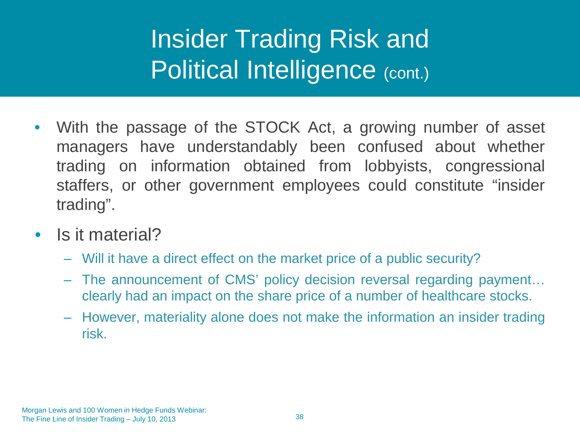- With the passage of the STOCK Act, a growing number of asset managers have understandably been confused about whether trading on information obtained from lobbyists, congressional staffers, or other government employees could constitute "insider trading".
- Is it material?
	- Will it have a direct effect on the market price of a public security?
	- The announcement of CMS' policy decision reversal regarding payment… clearly had an impact on the share price of a number of healthcare stocks.
	- However, materiality alone does not make the information an insider trading risk.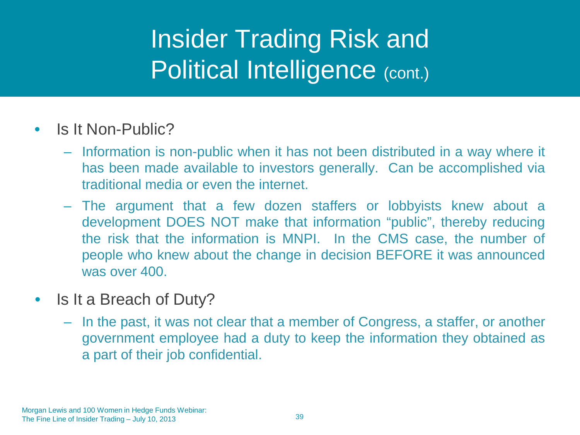- Is It Non-Public?
	- Information is non-public when it has not been distributed in a way where it has been made available to investors generally. Can be accomplished via traditional media or even the internet.
	- The argument that a few dozen staffers or lobbyists knew about a development DOES NOT make that information "public", thereby reducing the risk that the information is MNPI. In the CMS case, the number of people who knew about the change in decision BEFORE it was announced was over 400.
- Is It a Breach of Duty?
	- In the past, it was not clear that a member of Congress, a staffer, or another government employee had a duty to keep the information they obtained as a part of their job confidential.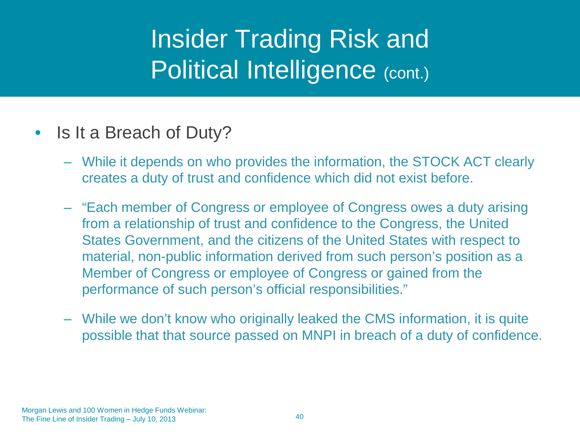- Is It a Breach of Duty?
	- While it depends on who provides the information, the STOCK ACT clearly creates a duty of trust and confidence which did not exist before.
	- "Each member of Congress or employee of Congress owes a duty arising from a relationship of trust and confidence to the Congress, the United States Government, and the citizens of the United States with respect to material, non-public information derived from such person's position as a Member of Congress or employee of Congress or gained from the performance of such person's official responsibilities."
	- While we don't know who originally leaked the CMS information, it is quite possible that that source passed on MNPI in breach of a duty of confidence.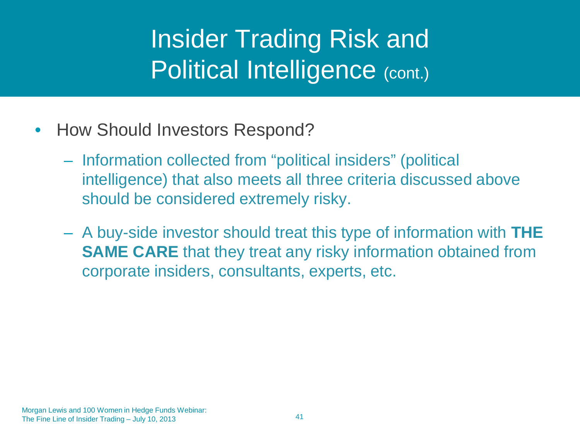- How Should Investors Respond?
	- Information collected from "political insiders" (political intelligence) that also meets all three criteria discussed above should be considered extremely risky.
	- A buy-side investor should treat this type of information with **THE SAME CARE** that they treat any risky information obtained from corporate insiders, consultants, experts, etc.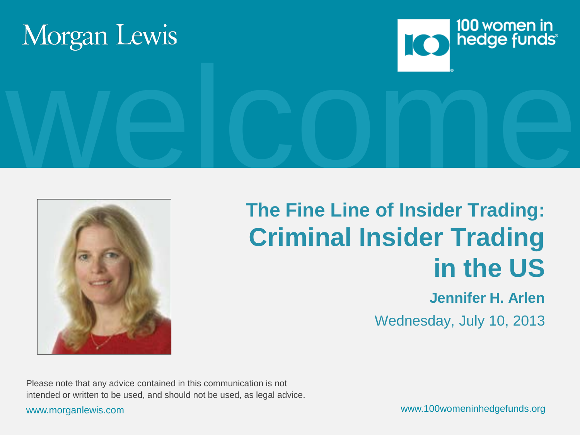





### **The Fine Line of Insider Trading: Criminal Insider Trading in the US**

### **Jennifer H. Arlen**

Wednesday, July 10, 2013

Please note that any advice contained in this communication is not intended or written to be used, and should not be used, as legal advice.

www.morganlewis.com www.100womeninhedgefunds.org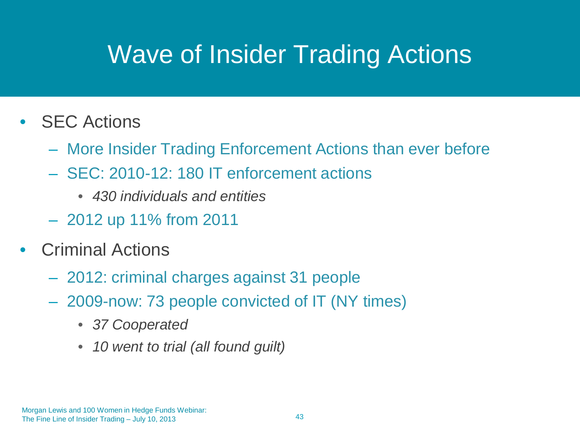### Wave of Insider Trading Actions

- **SEC Actions** 
	- More Insider Trading Enforcement Actions than ever before
	- SEC: 2010-12: 180 IT enforcement actions
		- *430 individuals and entities*
	- 2012 up 11% from 2011
- **Criminal Actions** 
	- 2012: criminal charges against 31 people
	- 2009-now: 73 people convicted of IT (NY times)
		- *37 Cooperated*
		- *10 went to trial (all found guilt)*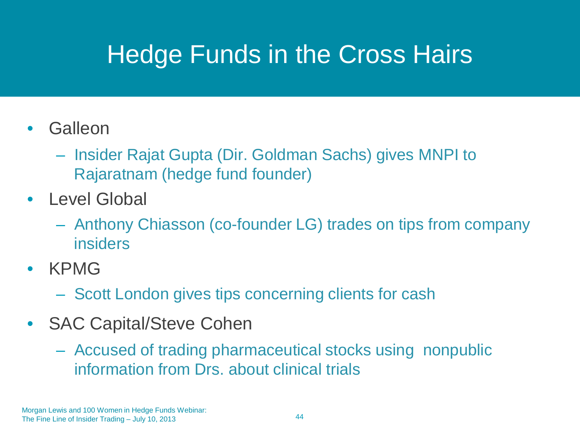### Hedge Funds in the Cross Hairs

- **Galleon** 
	- Insider Rajat Gupta (Dir. Goldman Sachs) gives MNPI to Rajaratnam (hedge fund founder)
- Level Global
	- Anthony Chiasson (co-founder LG) trades on tips from company insiders
- KPMG
	- Scott London gives tips concerning clients for cash
- SAC Capital/Steve Cohen
	- Accused of trading pharmaceutical stocks using nonpublic information from Drs. about clinical trials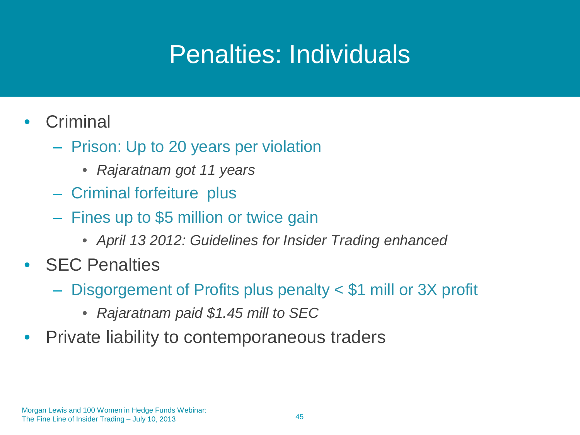### Penalties: Individuals

- Criminal
	- Prison: Up to 20 years per violation
		- *Rajaratnam got 11 years*
	- Criminal forfeiture plus
	- Fines up to \$5 million or twice gain
		- *April 13 2012: Guidelines for Insider Trading enhanced*
- SEC Penalties
	- Disgorgement of Profits plus penalty < \$1 mill or 3X profit
		- *Rajaratnam paid \$1.45 mill to SEC*
- Private liability to contemporaneous traders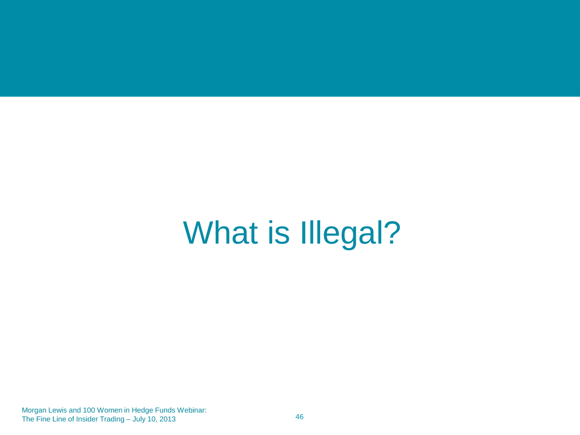# What is Illegal?

Morgan Lewis and 100 Women in Hedge Funds Webinar: The Fine Line of Insider Trading – July 10, 2013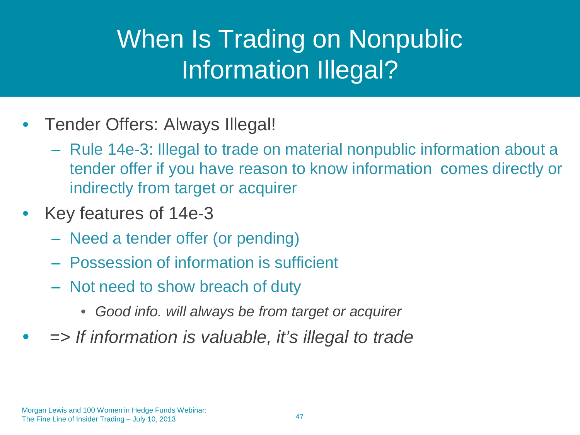### When Is Trading on Nonpublic Information Illegal?

- Tender Offers: Always Illegal!
	- Rule 14e-3: Illegal to trade on material nonpublic information about a tender offer if you have reason to know information comes directly or indirectly from target or acquirer
- Key features of 14e-3
	- Need a tender offer (or pending)
	- Possession of information is sufficient
	- Not need to show breach of duty
		- *Good info. will always be from target or acquirer*
- *=> If information is valuable, it's illegal to trade*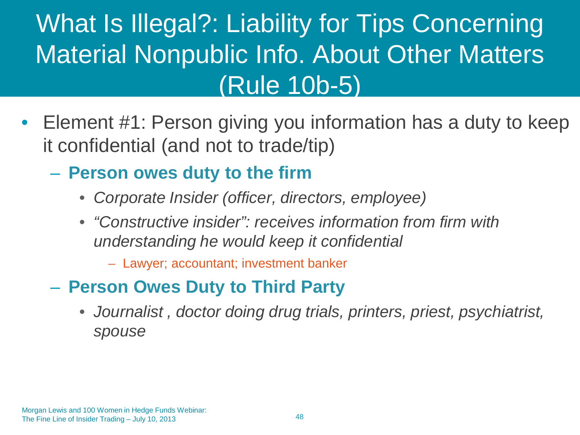### What Is Illegal?: Liability for Tips Concerning Material Nonpublic Info. About Other Matters (Rule 10b-5)

- Element #1: Person giving you information has a duty to keep it confidential (and not to trade/tip)
	- **Person owes duty to the firm**
		- *Corporate Insider (officer, directors, employee)*
		- *"Constructive insider": receives information from firm with understanding he would keep it confidential* 
			- Lawyer; accountant; investment banker
	- **Person Owes Duty to Third Party**
		- *Journalist , doctor doing drug trials, printers, priest, psychiatrist, spouse*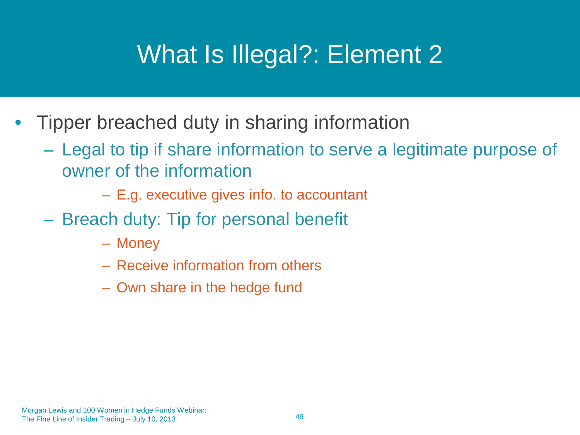### What Is Illegal?: Element 2

- Tipper breached duty in sharing information
	- Legal to tip if share information to serve a legitimate purpose of owner of the information
		- E.g. executive gives info. to accountant
	- Breach duty: Tip for personal benefit
		- Money
		- Receive information from others
		- Own share in the hedge fund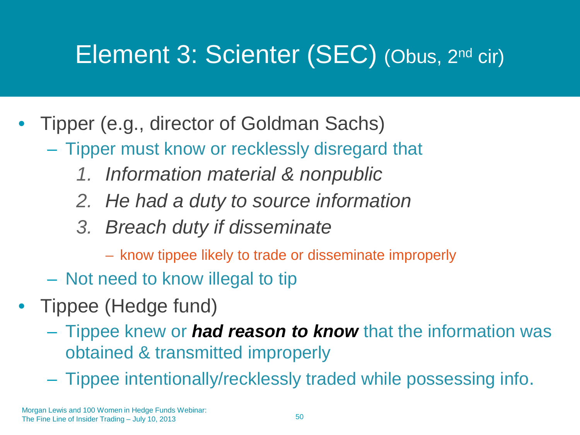### Element 3: Scienter (SEC) (Obus, 2nd cir)

- Tipper (e.g., director of Goldman Sachs)
	- Tipper must know or recklessly disregard that
		- *1. Information material & nonpublic*
		- *2. He had a duty to source information*
		- *3. Breach duty if disseminate* 
			- know tippee likely to trade or disseminate improperly
	- Not need to know illegal to tip
- Tippee (Hedge fund)
	- Tippee knew or *had reason to know* that the information was obtained & transmitted improperly
	- Tippee intentionally/recklessly traded while possessing info.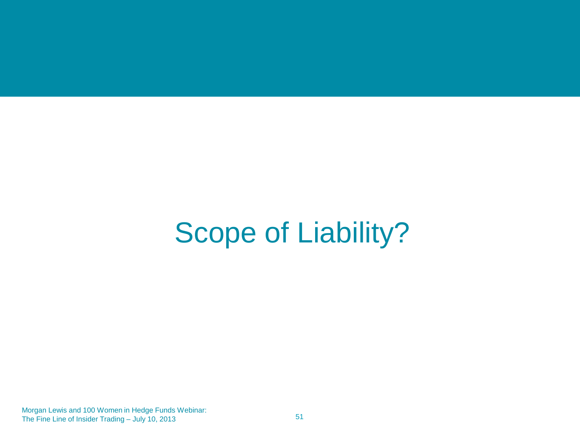## Scope of Liability?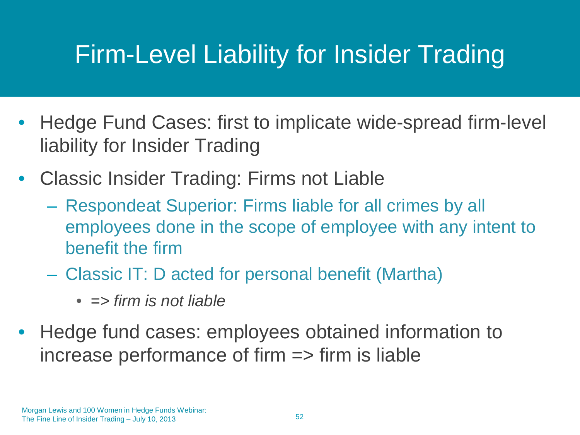### Firm-Level Liability for Insider Trading

- Hedge Fund Cases: first to implicate wide-spread firm-level liability for Insider Trading
- Classic Insider Trading: Firms not Liable
	- Respondeat Superior: Firms liable for all crimes by all employees done in the scope of employee with any intent to benefit the firm
	- Classic IT: D acted for personal benefit (Martha)
		- *=> firm is not liable*
- Hedge fund cases: employees obtained information to increase performance of firm  $\Rightarrow$  firm is liable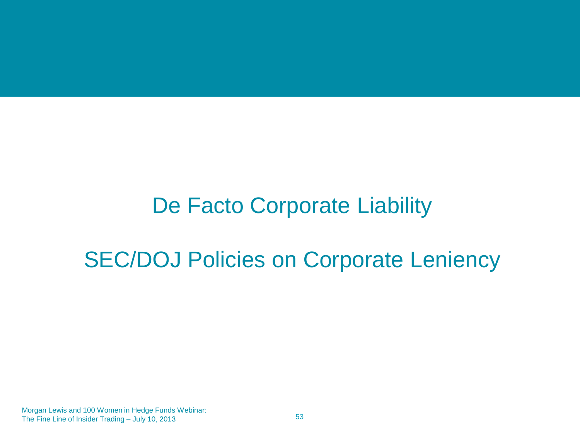### De Facto Corporate Liability

### SEC/DOJ Policies on Corporate Leniency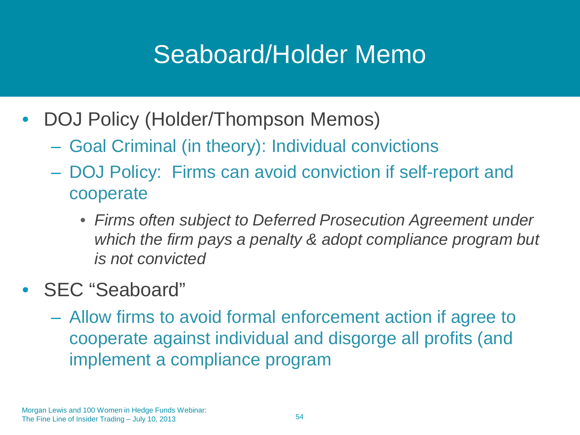### Seaboard/Holder Memo

- DOJ Policy (Holder/Thompson Memos)
	- Goal Criminal (in theory): Individual convictions
	- DOJ Policy: Firms can avoid conviction if self-report and cooperate
		- *Firms often subject to Deferred Prosecution Agreement under which the firm pays a penalty & adopt compliance program but is not convicted*
- **SEC** "Seaboard"
	- Allow firms to avoid formal enforcement action if agree to cooperate against individual and disgorge all profits (and implement a compliance program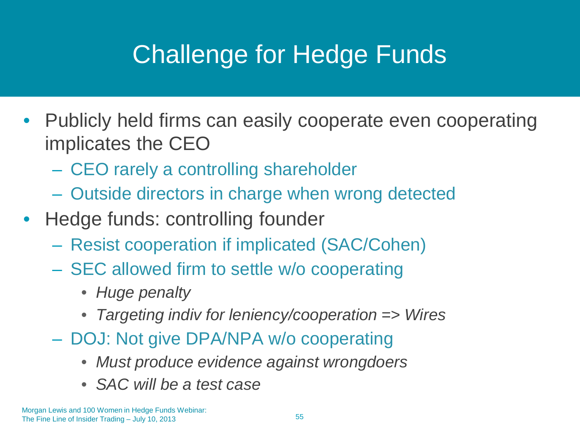## Challenge for Hedge Funds

- Publicly held firms can easily cooperate even cooperating implicates the CEO
	- CEO rarely a controlling shareholder
	- Outside directors in charge when wrong detected
- Hedge funds: controlling founder
	- Resist cooperation if implicated (SAC/Cohen)
	- SEC allowed firm to settle w/o cooperating
		- *Huge penalty*
		- *Targeting indiv for leniency/cooperation => Wires*
	- DOJ: Not give DPA/NPA w/o cooperating
		- *Must produce evidence against wrongdoers*
		- *SAC will be a test case*

Morgan Lewis and 100 Women in Hedge Funds Webinar: The Fine Line of Insider Trading – July 10, 2013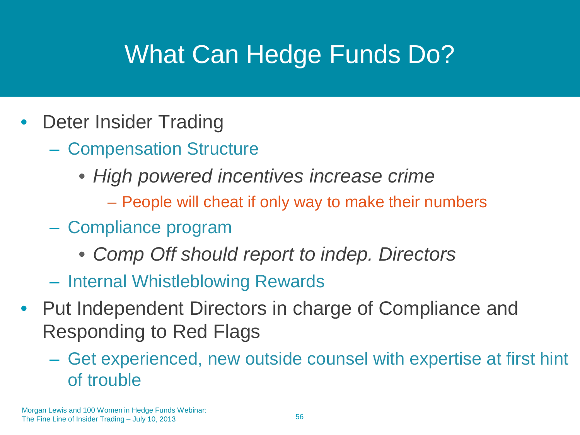## What Can Hedge Funds Do?

- Deter Insider Trading
	- Compensation Structure
		- *High powered incentives increase crime*
			- People will cheat if only way to make their numbers
	- Compliance program
		- *Comp Off should report to indep. Directors*
	- Internal Whistleblowing Rewards
- Put Independent Directors in charge of Compliance and Responding to Red Flags
	- Get experienced, new outside counsel with expertise at first hint of trouble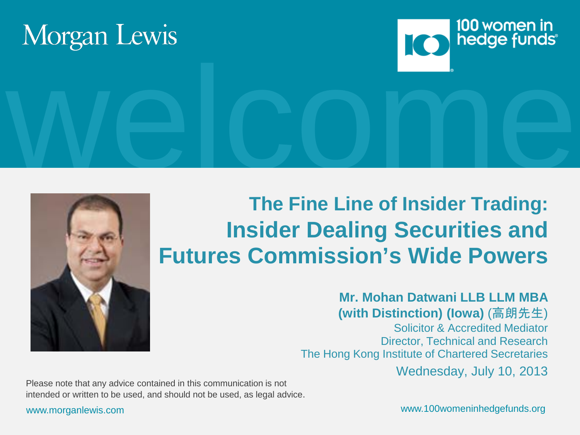





# welcome. **The Fine Line of Insider Trading: Insider Dealing Securities and Futures Commission's Wide Powers**

#### **Mr. Mohan Datwani LLB LLM MBA (with Distinction) (Iowa)** (高朗先生)

 Solicitor & Accredited Mediator Director, Technical and Research The Hong Kong Institute of Chartered Secretaries Wednesday, July 10, 2013

Please note that any advice contained in this communication is not intended or written to be used, and should not be used, as legal advice.

www.morganlewis.com www.100womeninhedgefunds.org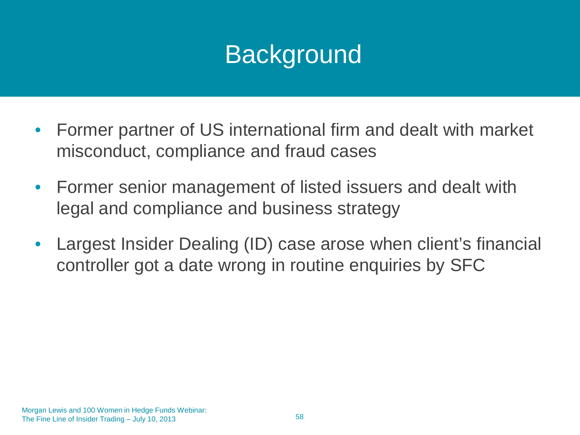### **Background**

- Former partner of US international firm and dealt with market misconduct, compliance and fraud cases
- Former senior management of listed issuers and dealt with legal and compliance and business strategy
- Largest Insider Dealing (ID) case arose when client's financial controller got a date wrong in routine enquiries by SFC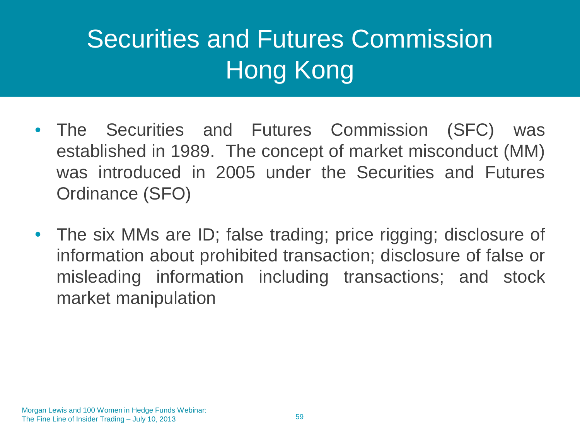## Securities and Futures Commission Hong Kong

- The Securities and Futures Commission (SFC) was established in 1989. The concept of market misconduct (MM) was introduced in 2005 under the Securities and Futures Ordinance (SFO)
- The six MMs are ID; false trading; price rigging; disclosure of information about prohibited transaction; disclosure of false or misleading information including transactions; and stock market manipulation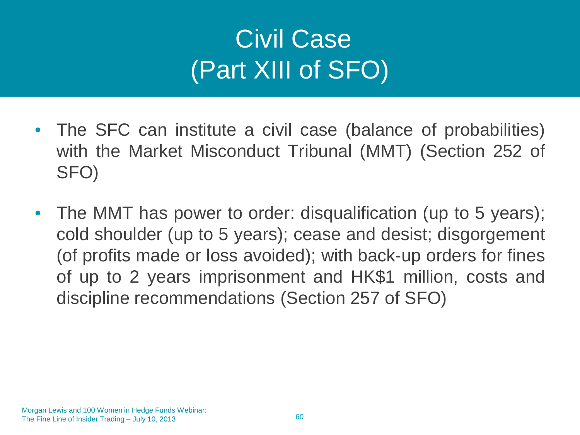## Civil Case (Part XIII of SFO)

- The SFC can institute a civil case (balance of probabilities) with the Market Misconduct Tribunal (MMT) (Section 252 of SFO)
- The MMT has power to order: disqualification (up to 5 years); cold shoulder (up to 5 years); cease and desist; disgorgement (of profits made or loss avoided); with back-up orders for fines of up to 2 years imprisonment and HK\$1 million, costs and discipline recommendations (Section 257 of SFO)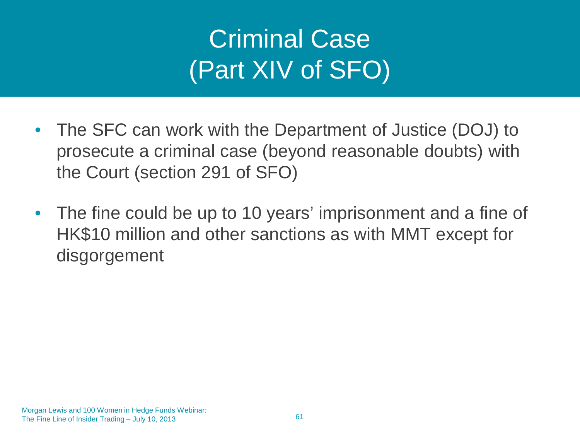## Criminal Case (Part XIV of SFO)

- The SFC can work with the Department of Justice (DOJ) to prosecute a criminal case (beyond reasonable doubts) with the Court (section 291 of SFO)
- The fine could be up to 10 years' imprisonment and a fine of HK\$10 million and other sanctions as with MMT except for disgorgement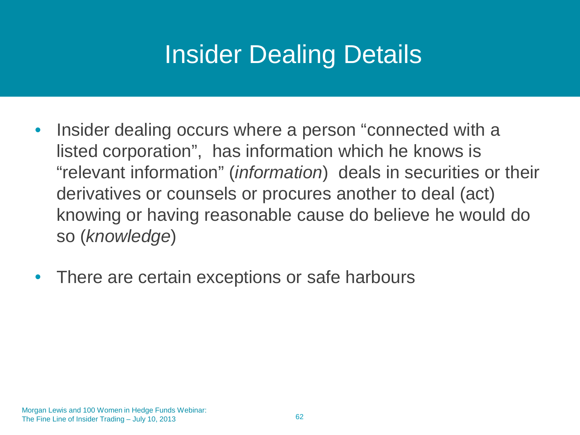### Insider Dealing Details

- Insider dealing occurs where a person "connected with a listed corporation", has information which he knows is "relevant information" (*information*) deals in securities or their derivatives or counsels or procures another to deal (act) knowing or having reasonable cause do believe he would do so (*knowledge*)
- There are certain exceptions or safe harbours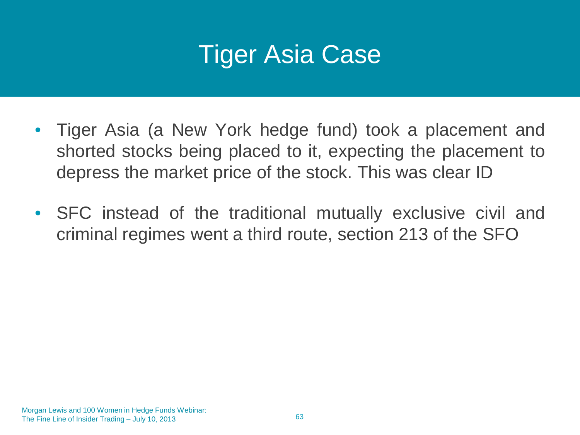### Tiger Asia Case

- Tiger Asia (a New York hedge fund) took a placement and shorted stocks being placed to it, expecting the placement to depress the market price of the stock. This was clear ID
- SFC instead of the traditional mutually exclusive civil and criminal regimes went a third route, section 213 of the SFO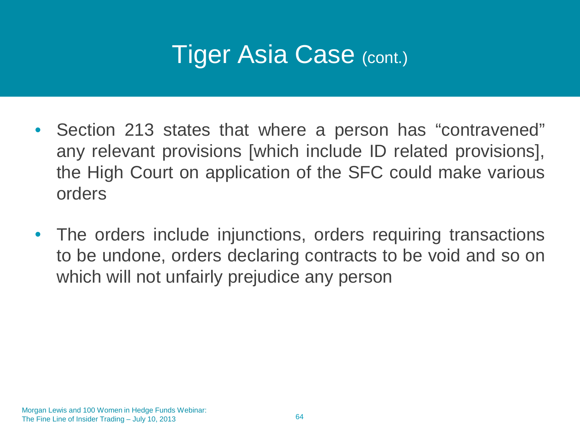- Section 213 states that where a person has "contravened" any relevant provisions [which include ID related provisions], the High Court on application of the SFC could make various orders
- The orders include injunctions, orders requiring transactions to be undone, orders declaring contracts to be void and so on which will not unfairly prejudice any person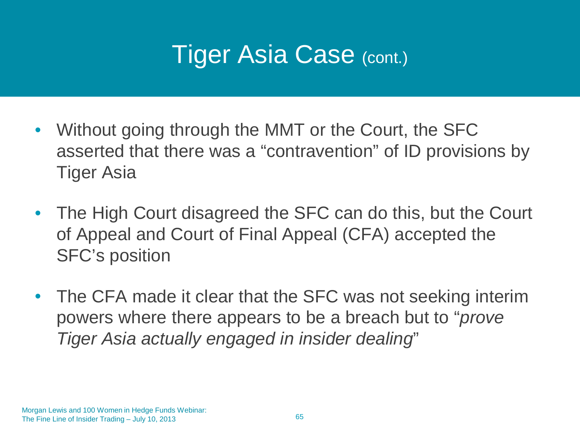- Without going through the MMT or the Court, the SFC asserted that there was a "contravention" of ID provisions by Tiger Asia
- The High Court disagreed the SFC can do this, but the Court of Appeal and Court of Final Appeal (CFA) accepted the SFC's position
- The CFA made it clear that the SFC was not seeking interim powers where there appears to be a breach but to "*prove Tiger Asia actually engaged in insider dealing*"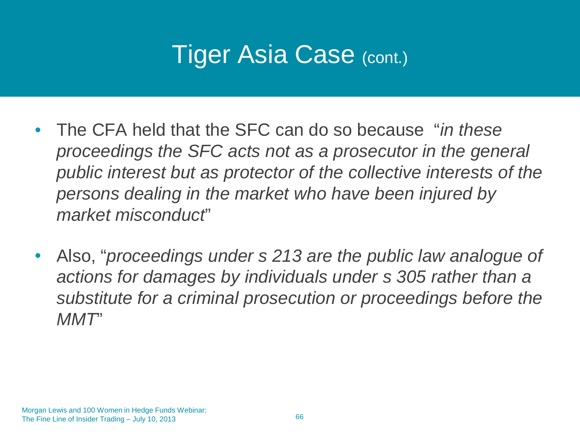- The CFA held that the SFC can do so because "*in these proceedings the SFC acts not as a prosecutor in the general public interest but as protector of the collective interests of the persons dealing in the market who have been injured by market misconduct*"
- Also, "*proceedings under s 213 are the public law analogue of actions for damages by individuals under s 305 rather than a substitute for a criminal prosecution or proceedings before the MMT*"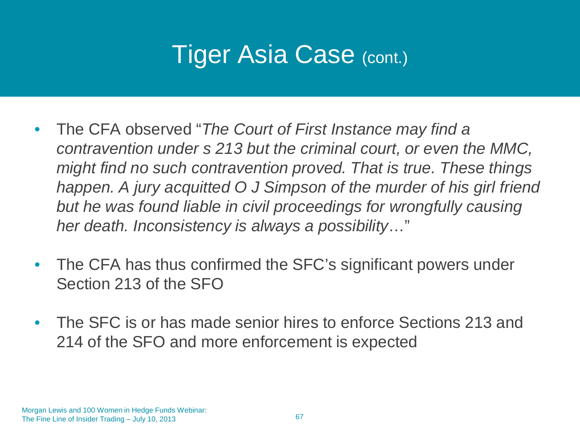- The CFA observed "*The Court of First Instance may find a contravention under s 213 but the criminal court, or even the MMC, might find no such contravention proved. That is true. These things happen. A jury acquitted O J Simpson of the murder of his girl friend but he was found liable in civil proceedings for wrongfully causing her death. Inconsistency is always a possibility*…"
- The CFA has thus confirmed the SFC's significant powers under Section 213 of the SFO
- The SFC is or has made senior hires to enforce Sections 213 and 214 of the SFO and more enforcement is expected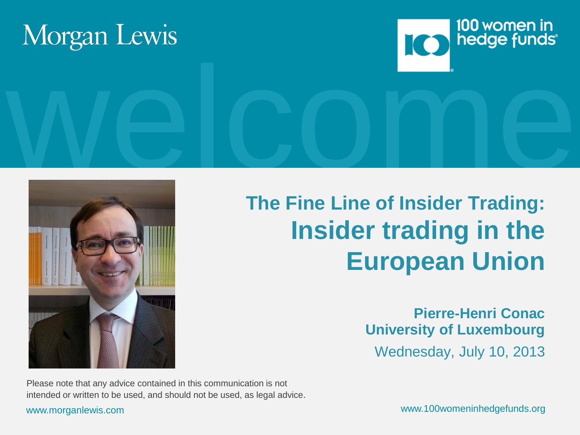





### **The Fine Line of Insider Trading: Insider trading in the European Union**

**Pierre-Henri Conac University of Luxembourg** Wednesday, July 10, 2013

Please note that any advice contained in this communication is not intended or written to be used, and should not be used, as legal advice.

www.morganlewis.com www.100womeninhedgefunds.org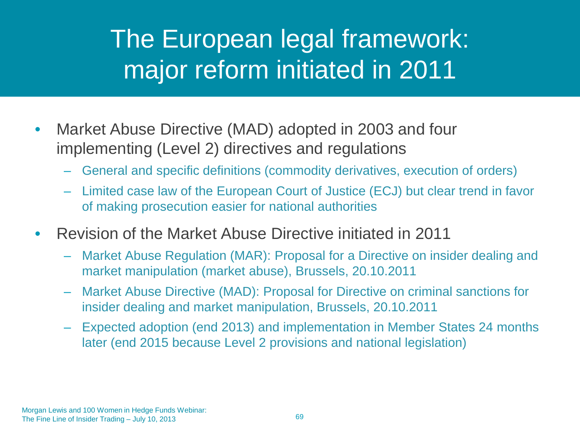### The European legal framework: major reform initiated in 2011

- Market Abuse Directive (MAD) adopted in 2003 and four implementing (Level 2) directives and regulations
	- General and specific definitions (commodity derivatives, execution of orders)
	- Limited case law of the European Court of Justice (ECJ) but clear trend in favor of making prosecution easier for national authorities
- Revision of the Market Abuse Directive initiated in 2011
	- Market Abuse Regulation (MAR): Proposal for a Directive on insider dealing and market manipulation (market abuse), Brussels, 20.10.2011
	- Market Abuse Directive (MAD): Proposal for Directive on criminal sanctions for insider dealing and market manipulation, Brussels, 20.10.2011
	- Expected adoption (end 2013) and implementation in Member States 24 months later (end 2015 because Level 2 provisions and national legislation)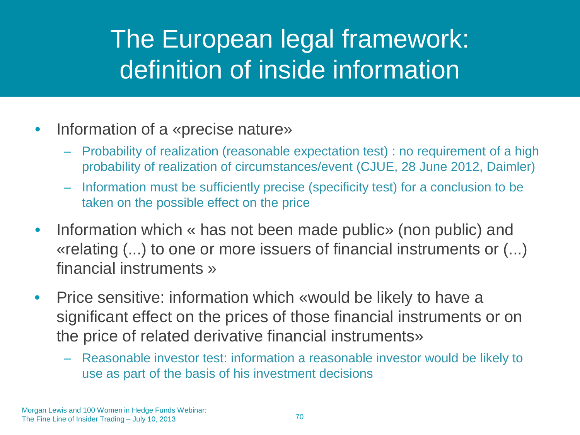### The European legal framework: definition of inside information

- Information of a «precise nature»
	- Probability of realization (reasonable expectation test) : no requirement of a high probability of realization of circumstances/event (CJUE, 28 June 2012, Daimler)
	- Information must be sufficiently precise (specificity test) for a conclusion to be taken on the possible effect on the price
- Information which « has not been made public» (non public) and «relating (...) to one or more issuers of financial instruments or (...) financial instruments »
- Price sensitive: information which «would be likely to have a significant effect on the prices of those financial instruments or on the price of related derivative financial instruments»
	- Reasonable investor test: information a reasonable investor would be likely to use as part of the basis of his investment decisions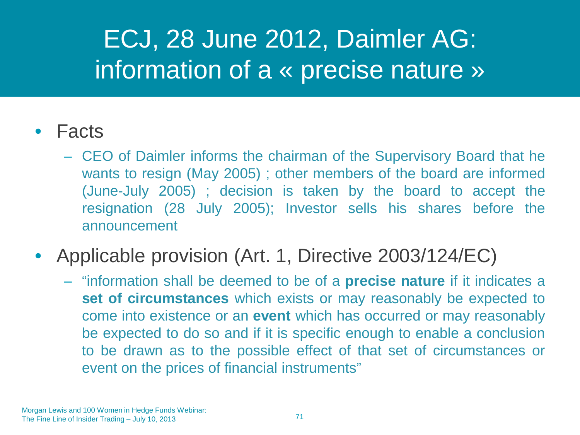### ECJ, 28 June 2012, Daimler AG: information of a « precise nature »

### • Facts

– CEO of Daimler informs the chairman of the Supervisory Board that he wants to resign (May 2005) ; other members of the board are informed (June-July 2005) ; decision is taken by the board to accept the resignation (28 July 2005); Investor sells his shares before the announcement

### • Applicable provision (Art. 1, Directive 2003/124/EC)

– "information shall be deemed to be of a **precise nature** if it indicates a **set of circumstances** which exists or may reasonably be expected to come into existence or an **event** which has occurred or may reasonably be expected to do so and if it is specific enough to enable a conclusion to be drawn as to the possible effect of that set of circumstances or event on the prices of financial instruments"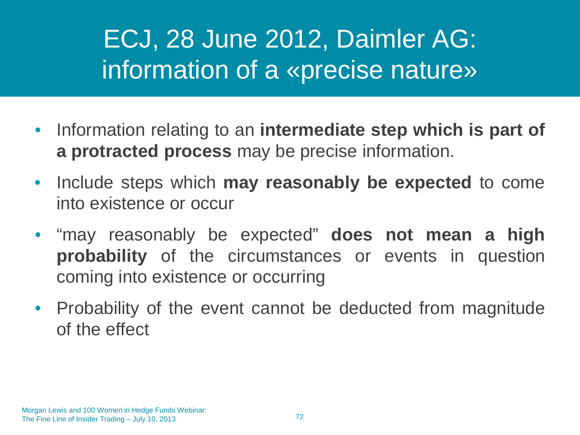### ECJ, 28 June 2012, Daimler AG: information of a «precise nature»

- Information relating to an **intermediate step which is part of a protracted process** may be precise information.
- Include steps which **may reasonably be expected** to come into existence or occur
- "may reasonably be expected" **does not mean a high probability** of the circumstances or events in question coming into existence or occurring
- Probability of the event cannot be deducted from magnitude of the effect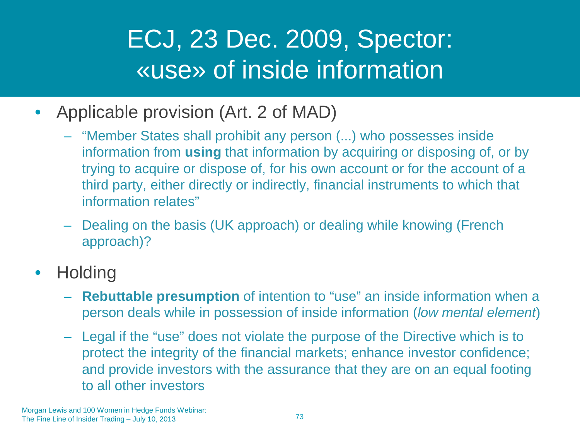#### ECJ, 23 Dec. 2009, Spector: «use» of inside information

- Applicable provision (Art. 2 of MAD)
	- "Member States shall prohibit any person (...) who possesses inside information from **using** that information by acquiring or disposing of, or by trying to acquire or dispose of, for his own account or for the account of a third party, either directly or indirectly, financial instruments to which that information relates"
	- Dealing on the basis (UK approach) or dealing while knowing (French approach)?
- Holding
	- **Rebuttable presumption** of intention to "use" an inside information when a person deals while in possession of inside information (*low mental element*)
	- Legal if the "use" does not violate the purpose of the Directive which is to protect the integrity of the financial markets; enhance investor confidence; and provide investors with the assurance that they are on an equal footing to all other investors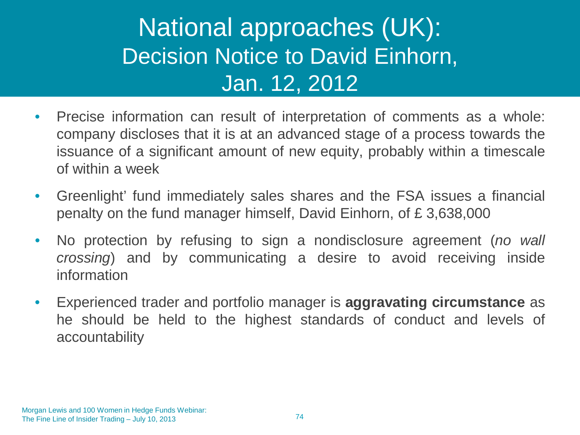#### National approaches (UK): Decision Notice to David Einhorn, Jan. 12, 2012

- Precise information can result of interpretation of comments as a whole: company discloses that it is at an advanced stage of a process towards the issuance of a significant amount of new equity, probably within a timescale of within a week
- Greenlight' fund immediately sales shares and the FSA issues a financial penalty on the fund manager himself, David Einhorn, of £ 3,638,000
- No protection by refusing to sign a nondisclosure agreement (*no wall crossing*) and by communicating a desire to avoid receiving inside information
- Experienced trader and portfolio manager is **aggravating circumstance** as he should be held to the highest standards of conduct and levels of accountability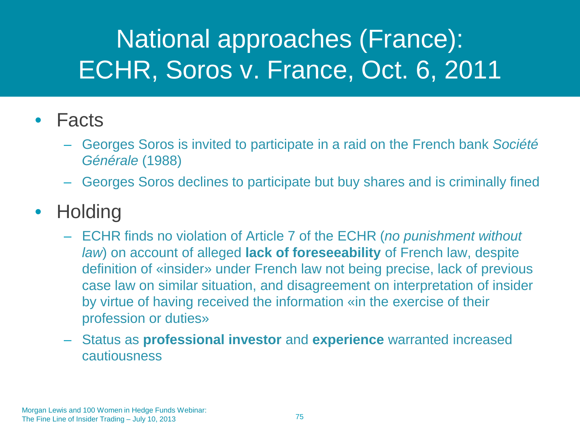# National approaches (France): ECHR, Soros v. France, Oct. 6, 2011

#### • Facts

- Georges Soros is invited to participate in a raid on the French bank *Société Générale* (1988)
- Georges Soros declines to participate but buy shares and is criminally fined

#### • Holding

- ECHR finds no violation of Article 7 of the ECHR (*no punishment without law*) on account of alleged **lack of foreseeability** of French law, despite definition of «insider» under French law not being precise, lack of previous case law on similar situation, and disagreement on interpretation of insider by virtue of having received the information «in the exercise of their profession or duties»
- Status as **professional investor** and **experience** warranted increased cautiousness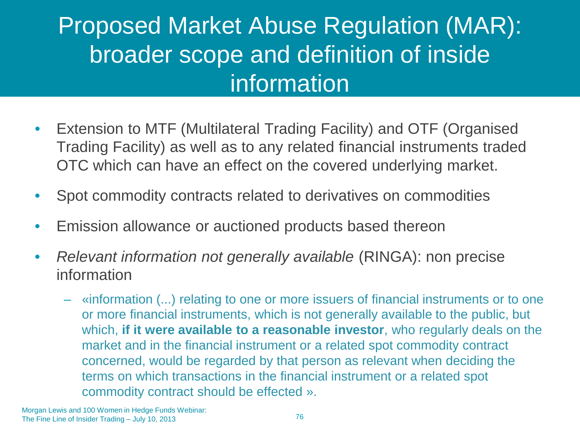#### Proposed Market Abuse Regulation (MAR): broader scope and definition of inside information

- Extension to MTF (Multilateral Trading Facility) and OTF (Organised Trading Facility) as well as to any related financial instruments traded OTC which can have an effect on the covered underlying market.
- Spot commodity contracts related to derivatives on commodities
- Emission allowance or auctioned products based thereon
- *Relevant information not generally available* (RINGA): non precise information
	- «information (...) relating to one or more issuers of financial instruments or to one or more financial instruments, which is not generally available to the public, but which, **if it were available to a reasonable investor**, who regularly deals on the market and in the financial instrument or a related spot commodity contract concerned, would be regarded by that person as relevant when deciding the terms on which transactions in the financial instrument or a related spot commodity contract should be effected ».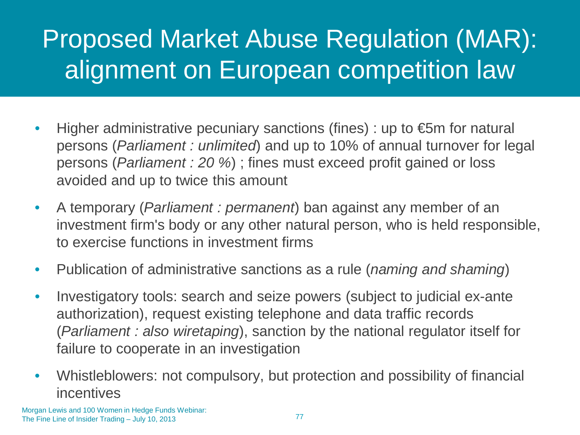# Proposed Market Abuse Regulation (MAR): alignment on European competition law

- Higher administrative pecuniary sanctions (fines) : up to  $\epsilon$ 5m for natural persons (*Parliament : unlimited*) and up to 10% of annual turnover for legal persons (*Parliament : 20 %*) ; fines must exceed profit gained or loss avoided and up to twice this amount
- A temporary (*Parliament : permanent*) ban against any member of an investment firm's body or any other natural person, who is held responsible, to exercise functions in investment firms
- Publication of administrative sanctions as a rule (*naming and shaming*)
- Investigatory tools: search and seize powers (subject to judicial ex-ante authorization), request existing telephone and data traffic records (*Parliament : also wiretaping*), sanction by the national regulator itself for failure to cooperate in an investigation
- Whistleblowers: not compulsory, but protection and possibility of financial incentives

Morgan Lewis and 100 Women in Hedge Funds Webinar: The Fine Line of Insider Trading – July 10, 2013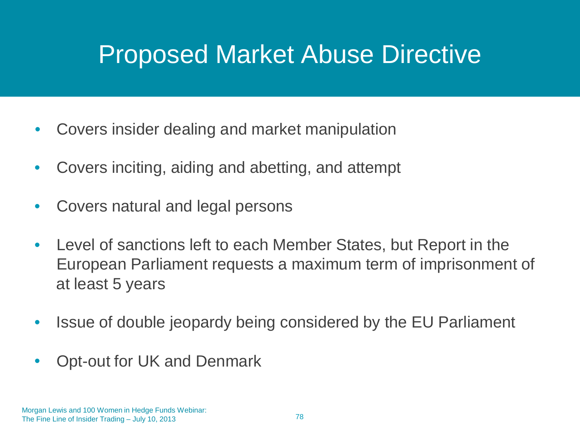#### Proposed Market Abuse Directive

- Covers insider dealing and market manipulation
- Covers inciting, aiding and abetting, and attempt
- Covers natural and legal persons
- Level of sanctions left to each Member States, but Report in the European Parliament requests a maximum term of imprisonment of at least 5 years
- Issue of double jeopardy being considered by the EU Parliament
- Opt-out for UK and Denmark

Morgan Lewis and 100 Women in Hedge Funds Webinar: The Fine Line of Insider Trading – July 10, 2013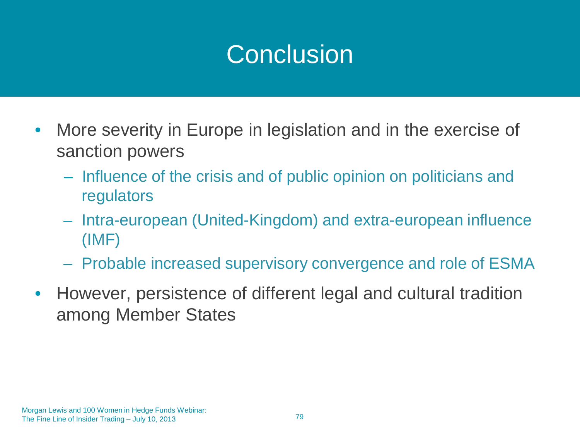#### **Conclusion**

- More severity in Europe in legislation and in the exercise of sanction powers
	- Influence of the crisis and of public opinion on politicians and regulators
	- Intra-european (United-Kingdom) and extra-european influence (IMF)
	- Probable increased supervisory convergence and role of ESMA
- However, persistence of different legal and cultural tradition among Member States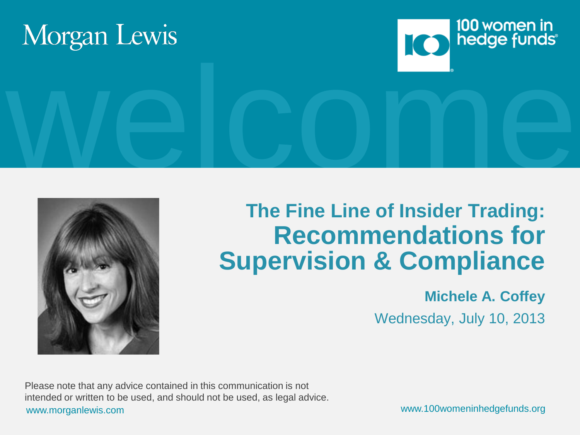





#### **The Fine Line of Insider Trading: Recommendations for Supervision & Compliance**

#### **Michele A. Coffey**

Wednesday, July 10, 2013

www.morganlewis.com www.100womeninhedgefunds.org Please note that any advice contained in this communication is not intended or written to be used, and should not be used, as legal advice.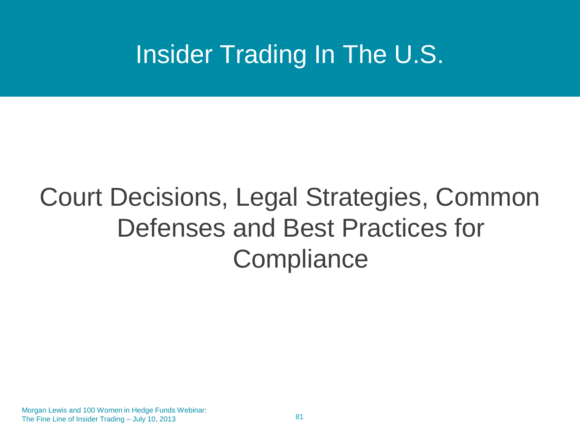#### Insider Trading In The U.S.

# Court Decisions, Legal Strategies, Common Defenses and Best Practices for **Compliance**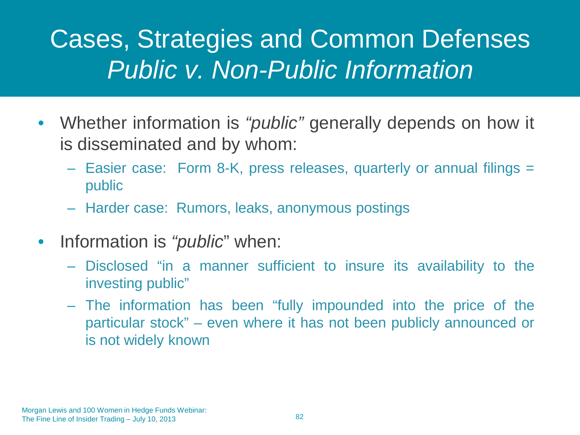#### Cases, Strategies and Common Defenses *Public v. Non-Public Information*

- Whether information is *"public"* generally depends on how it is disseminated and by whom:
	- Easier case: Form 8-K, press releases, quarterly or annual filings = public
	- Harder case: Rumors, leaks, anonymous postings
- Information is *"public*" when:
	- Disclosed "in a manner sufficient to insure its availability to the investing public"
	- The information has been "fully impounded into the price of the particular stock" – even where it has not been publicly announced or is not widely known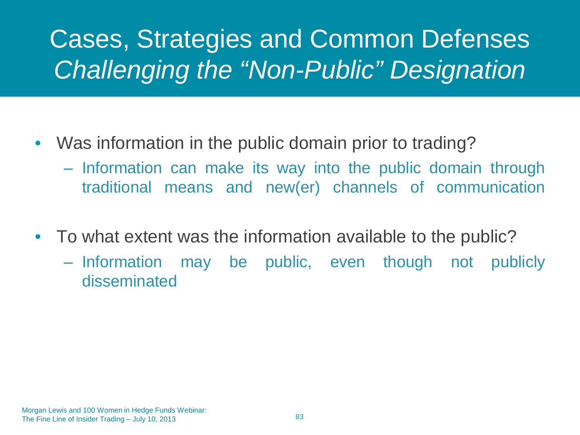# Cases, Strategies and Common Defenses *Challenging the "Non-Public" Designation*

- Was information in the public domain prior to trading?
	- Information can make its way into the public domain through traditional means and new(er) channels of communication
- To what extent was the information available to the public?
	- Information may be public, even though not publicly disseminated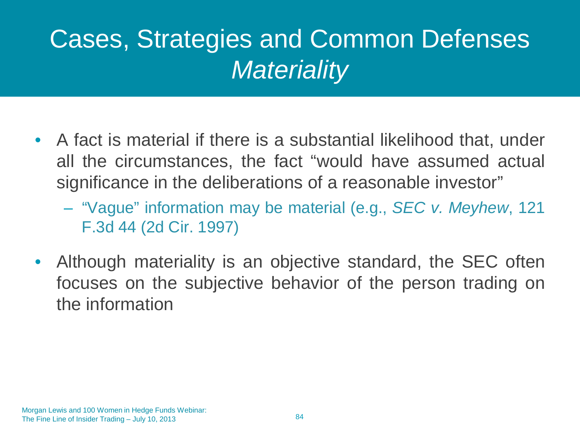## Cases, Strategies and Common Defenses *Materiality*

- A fact is material if there is a substantial likelihood that, under all the circumstances, the fact "would have assumed actual significance in the deliberations of a reasonable investor"
	- "Vague" information may be material (e.g., *SEC v. Meyhew*, 121 F.3d 44 (2d Cir. 1997)
- Although materiality is an objective standard, the SEC often focuses on the subjective behavior of the person trading on the information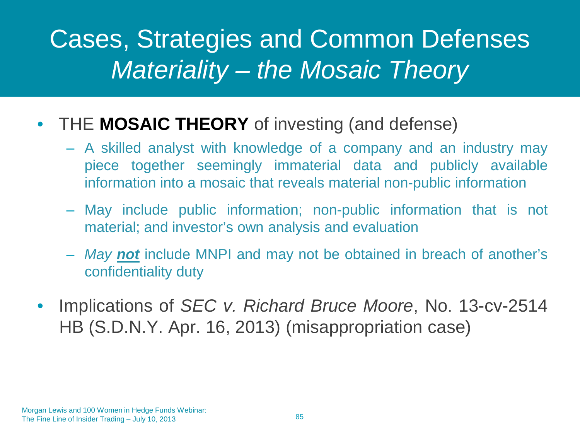#### Cases, Strategies and Common Defenses *Materiality – the Mosaic Theory*

#### • THE **MOSAIC THEORY** of investing (and defense)

- A skilled analyst with knowledge of a company and an industry may piece together seemingly immaterial data and publicly available information into a mosaic that reveals material non-public information
- May include public information; non-public information that is not material; and investor's own analysis and evaluation
- *May not* include MNPI and may not be obtained in breach of another's confidentiality duty
- Implications of *SEC v. Richard Bruce Moore*, No. 13-cv-2514 HB (S.D.N.Y. Apr. 16, 2013) (misappropriation case)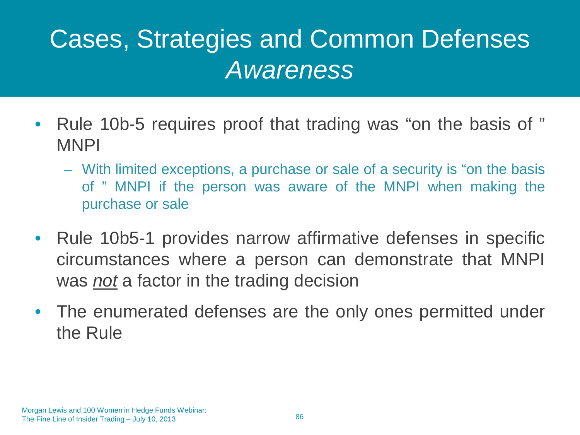### Cases, Strategies and Common Defenses *Awareness*

- Rule 10b-5 requires proof that trading was "on the basis of " MNPI
	- With limited exceptions, a purchase or sale of a security is "on the basis of " MNPI if the person was aware of the MNPI when making the purchase or sale
- Rule 10b5-1 provides narrow affirmative defenses in specific circumstances where a person can demonstrate that MNPI was *not* a factor in the trading decision
- The enumerated defenses are the only ones permitted under the Rule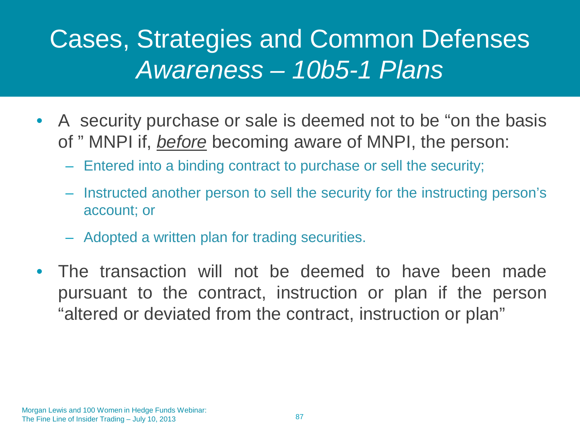#### Cases, Strategies and Common Defenses *Awareness – 10b5-1 Plans*

- A security purchase or sale is deemed not to be "on the basis" of " MNPI if, *before* becoming aware of MNPI, the person:
	- Entered into a binding contract to purchase or sell the security;
	- Instructed another person to sell the security for the instructing person's account; or
	- Adopted a written plan for trading securities.
- The transaction will not be deemed to have been made pursuant to the contract, instruction or plan if the person "altered or deviated from the contract, instruction or plan"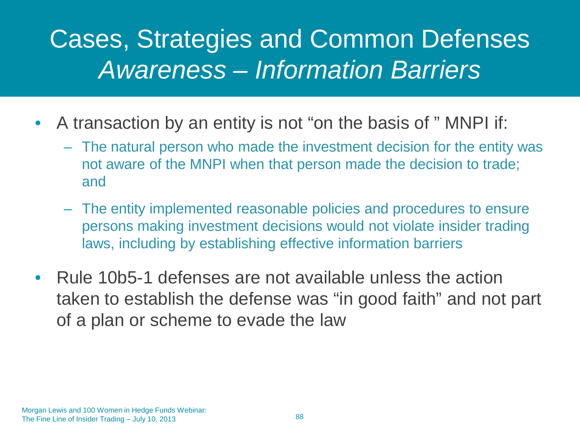#### Cases, Strategies and Common Defenses *Awareness – Information Barriers*

- A transaction by an entity is not "on the basis of " MNPI if:
	- The natural person who made the investment decision for the entity was not aware of the MNPI when that person made the decision to trade; and
	- The entity implemented reasonable policies and procedures to ensure persons making investment decisions would not violate insider trading laws, including by establishing effective information barriers
- Rule 10b5-1 defenses are not available unless the action taken to establish the defense was "in good faith" and not part of a plan or scheme to evade the law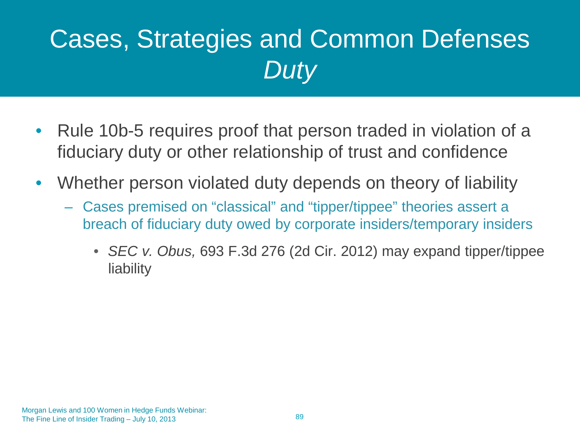# Cases, Strategies and Common Defenses *Duty*

- Rule 10b-5 requires proof that person traded in violation of a fiduciary duty or other relationship of trust and confidence
- Whether person violated duty depends on theory of liability
	- Cases premised on "classical" and "tipper/tippee" theories assert a breach of fiduciary duty owed by corporate insiders/temporary insiders
		- *SEC v. Obus,* 693 F.3d 276 (2d Cir. 2012) may expand tipper/tippee **liability**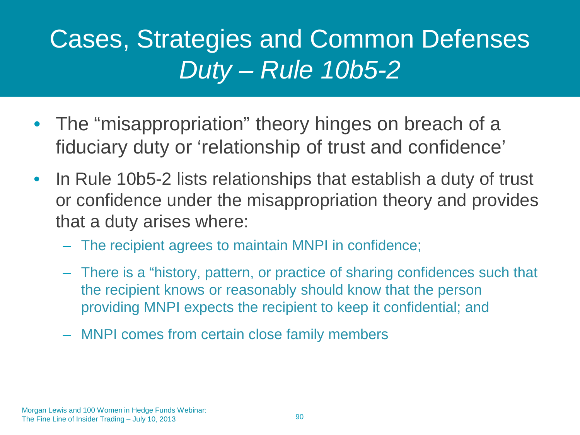## Cases, Strategies and Common Defenses *Duty – Rule 10b5-2*

- The "misappropriation" theory hinges on breach of a fiduciary duty or 'relationship of trust and confidence'
- In Rule 10b5-2 lists relationships that establish a duty of trust or confidence under the misappropriation theory and provides that a duty arises where:
	- The recipient agrees to maintain MNPI in confidence;
	- There is a "history, pattern, or practice of sharing confidences such that the recipient knows or reasonably should know that the person providing MNPI expects the recipient to keep it confidential; and
	- MNPI comes from certain close family members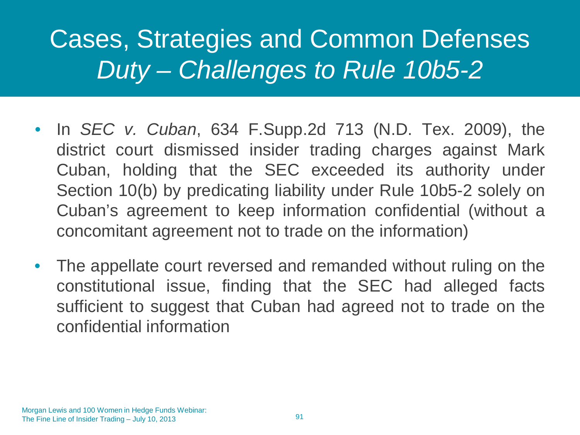### Cases, Strategies and Common Defenses *Duty – Challenges to Rule 10b5-2*

- In *SEC v. Cuban*, 634 F.Supp.2d 713 (N.D. Tex. 2009), the district court dismissed insider trading charges against Mark Cuban, holding that the SEC exceeded its authority under Section 10(b) by predicating liability under Rule 10b5-2 solely on Cuban's agreement to keep information confidential (without a concomitant agreement not to trade on the information)
- The appellate court reversed and remanded without ruling on the constitutional issue, finding that the SEC had alleged facts sufficient to suggest that Cuban had agreed not to trade on the confidential information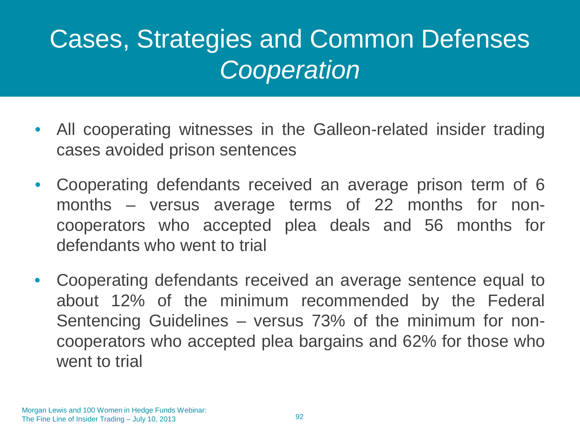### Cases, Strategies and Common Defenses *Cooperation*

- All cooperating witnesses in the Galleon-related insider trading cases avoided prison sentences
- Cooperating defendants received an average prison term of 6 months – versus average terms of 22 months for noncooperators who accepted plea deals and 56 months for defendants who went to trial
- Cooperating defendants received an average sentence equal to about 12% of the minimum recommended by the Federal Sentencing Guidelines – versus 73% of the minimum for noncooperators who accepted plea bargains and 62% for those who went to trial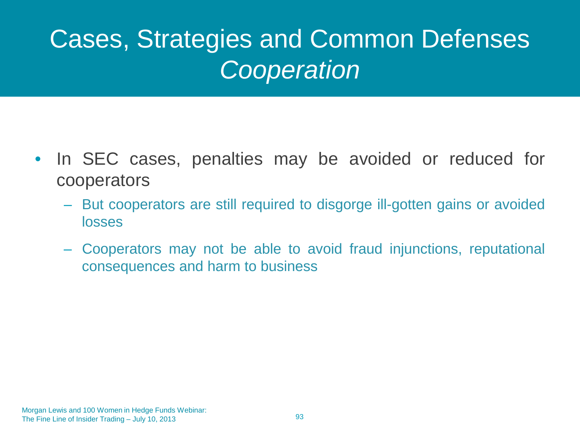## Cases, Strategies and Common Defenses *Cooperation*

- In SEC cases, penalties may be avoided or reduced for cooperators
	- But cooperators are still required to disgorge ill-gotten gains or avoided losses
	- Cooperators may not be able to avoid fraud injunctions, reputational consequences and harm to business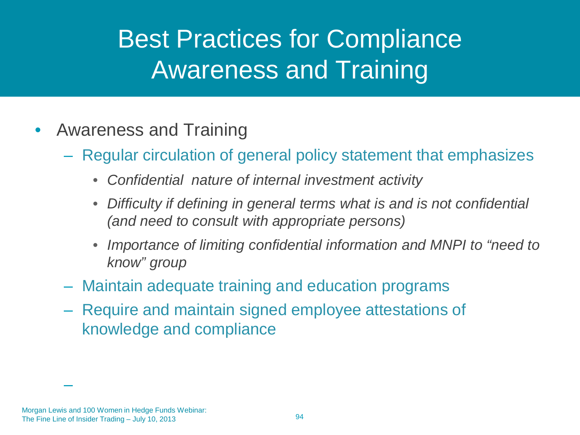## Best Practices for Compliance Awareness and Training

- Awareness and Training
	- Regular circulation of general policy statement that emphasizes
		- *Confidential nature of internal investment activity*
		- *Difficulty if defining in general terms what is and is not confidential (and need to consult with appropriate persons)*
		- *Importance of limiting confidential information and MNPI to "need to know" group*
	- Maintain adequate training and education programs
	- Require and maintain signed employee attestations of knowledge and compliance

Morgan Lewis and 100 Women in Hedge Funds Webinar: The Fine Line of Insider Trading – July 10, 2013

–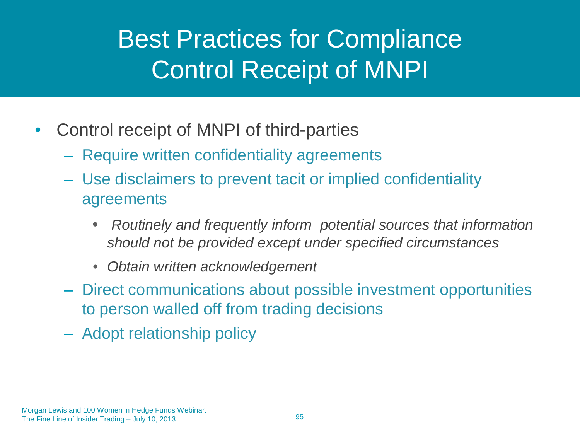### Best Practices for Compliance Control Receipt of MNPI

- Control receipt of MNPI of third-parties
	- Require written confidentiality agreements
	- Use disclaimers to prevent tacit or implied confidentiality agreements
		- *Routinely and frequently inform potential sources that information should not be provided except under specified circumstances*
		- *Obtain written acknowledgement*
	- Direct communications about possible investment opportunities to person walled off from trading decisions
	- Adopt relationship policy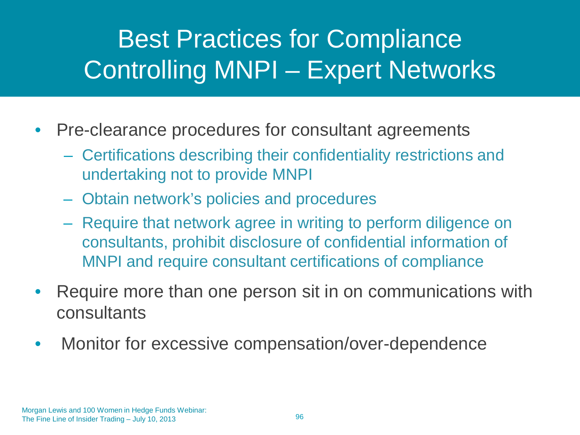# Best Practices for Compliance Controlling MNPI – Expert Networks

- Pre-clearance procedures for consultant agreements
	- Certifications describing their confidentiality restrictions and undertaking not to provide MNPI
	- Obtain network's policies and procedures
	- Require that network agree in writing to perform diligence on consultants, prohibit disclosure of confidential information of MNPI and require consultant certifications of compliance
- Require more than one person sit in on communications with consultants
- Monitor for excessive compensation/over-dependence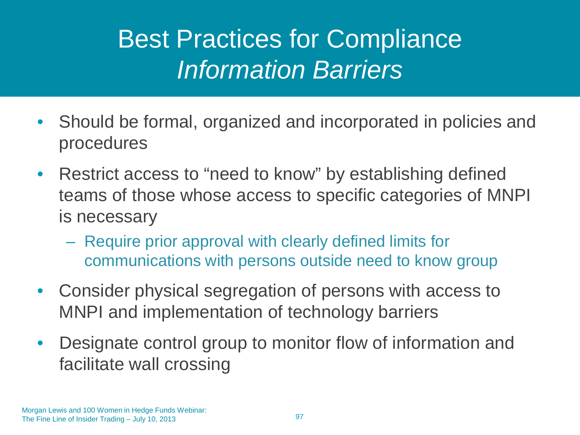### Best Practices for Compliance *Information Barriers*

- Should be formal, organized and incorporated in policies and procedures
- Restrict access to "need to know" by establishing defined teams of those whose access to specific categories of MNPI is necessary
	- Require prior approval with clearly defined limits for communications with persons outside need to know group
- Consider physical segregation of persons with access to MNPI and implementation of technology barriers
- Designate control group to monitor flow of information and facilitate wall crossing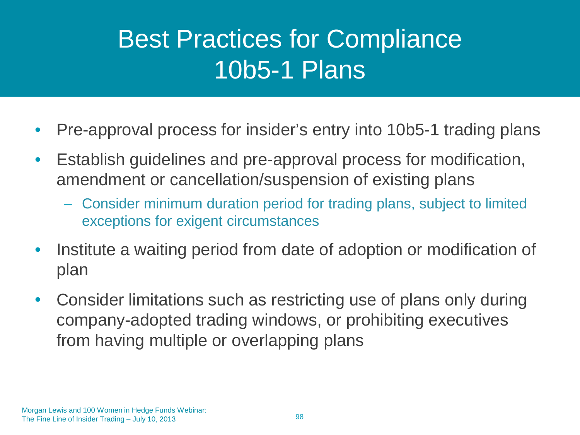### Best Practices for Compliance 10b5-1 Plans

- Pre-approval process for insider's entry into 10b5-1 trading plans
- Establish guidelines and pre-approval process for modification, amendment or cancellation/suspension of existing plans
	- Consider minimum duration period for trading plans, subject to limited exceptions for exigent circumstances
- Institute a waiting period from date of adoption or modification of plan
- Consider limitations such as restricting use of plans only during company-adopted trading windows, or prohibiting executives from having multiple or overlapping plans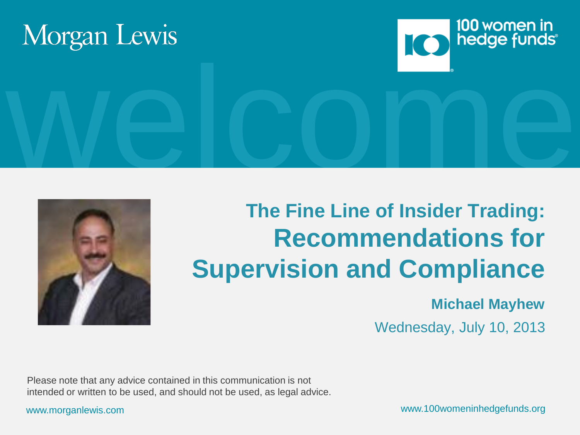





#### **The Fine Line of Insider Trading: Recommendations for Supervision and Compliance**

#### **Michael Mayhew**

Wednesday, July 10, 2013

Please note that any advice contained in this communication is not intended or written to be used, and should not be used, as legal advice.

www.morganlewis.com www.100womeninhedgefunds.org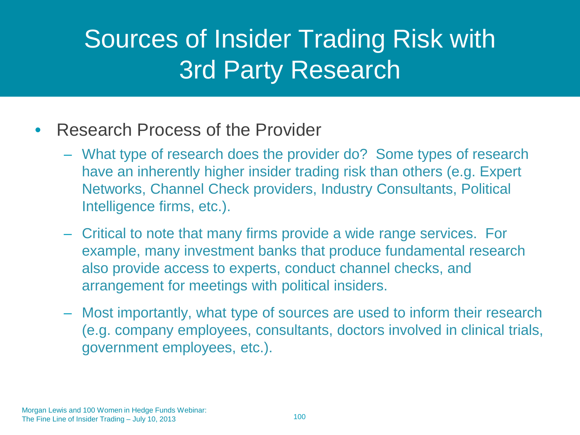### Sources of Insider Trading Risk with 3rd Party Research

#### • Research Process of the Provider

- What type of research does the provider do? Some types of research have an inherently higher insider trading risk than others (e.g. Expert Networks, Channel Check providers, Industry Consultants, Political Intelligence firms, etc.).
- Critical to note that many firms provide a wide range services. For example, many investment banks that produce fundamental research also provide access to experts, conduct channel checks, and arrangement for meetings with political insiders.
- Most importantly, what type of sources are used to inform their research (e.g. company employees, consultants, doctors involved in clinical trials, government employees, etc.).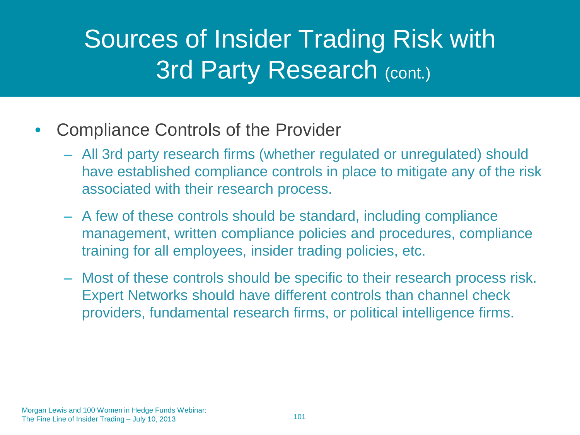## Sources of Insider Trading Risk with **3rd Party Research (cont.)**

- Compliance Controls of the Provider
	- All 3rd party research firms (whether regulated or unregulated) should have established compliance controls in place to mitigate any of the risk associated with their research process.
	- A few of these controls should be standard, including compliance management, written compliance policies and procedures, compliance training for all employees, insider trading policies, etc.
	- Most of these controls should be specific to their research process risk. Expert Networks should have different controls than channel check providers, fundamental research firms, or political intelligence firms.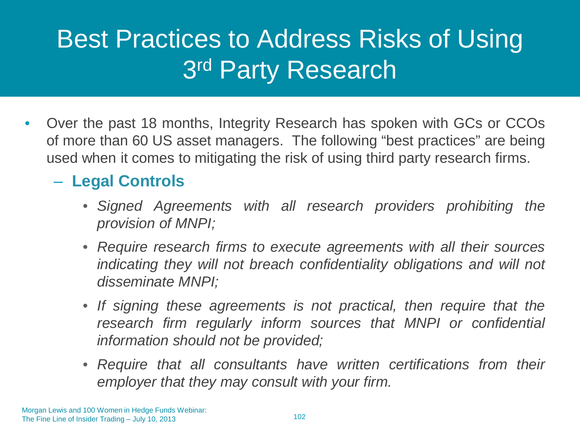## Best Practices to Address Risks of Using 3rd Party Research

• Over the past 18 months, Integrity Research has spoken with GCs or CCOs of more than 60 US asset managers. The following "best practices" are being used when it comes to mitigating the risk of using third party research firms.

#### – **Legal Controls**

- *Signed Agreements with all research providers prohibiting the provision of MNPI;*
- *Require research firms to execute agreements with all their sources indicating they will not breach confidentiality obligations and will not disseminate MNPI;*
- *If signing these agreements is not practical, then require that the research firm regularly inform sources that MNPI or confidential information should not be provided;*
- *Require that all consultants have written certifications from their employer that they may consult with your firm.*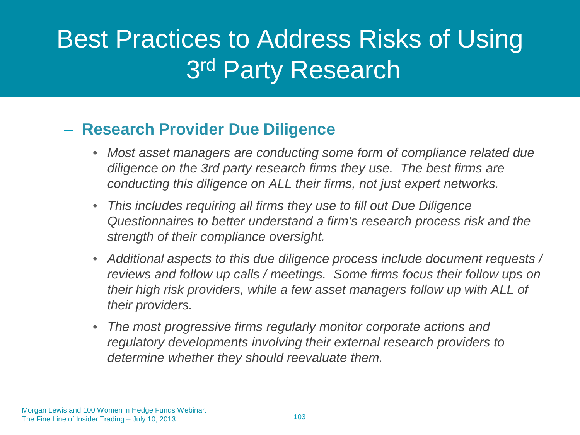### Best Practices to Address Risks of Using 3rd Party Research

#### – **Research Provider Due Diligence**

- *Most asset managers are conducting some form of compliance related due diligence on the 3rd party research firms they use. The best firms are conducting this diligence on ALL their firms, not just expert networks.*
- *This includes requiring all firms they use to fill out Due Diligence Questionnaires to better understand a firm's research process risk and the strength of their compliance oversight.*
- *Additional aspects to this due diligence process include document requests / reviews and follow up calls / meetings. Some firms focus their follow ups on their high risk providers, while a few asset managers follow up with ALL of their providers.*
- *The most progressive firms regularly monitor corporate actions and regulatory developments involving their external research providers to determine whether they should reevaluate them.*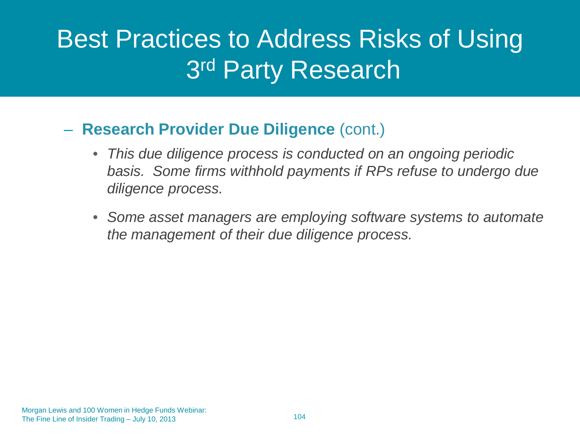### Best Practices to Address Risks of Using 3rd Party Research

#### – **Research Provider Due Diligence** (cont.)

- *This due diligence process is conducted on an ongoing periodic basis. Some firms withhold payments if RPs refuse to undergo due diligence process.*
- *Some asset managers are employing software systems to automate the management of their due diligence process.*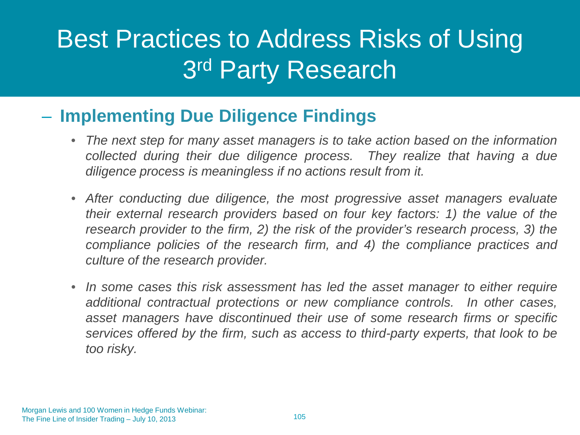### Best Practices to Address Risks of Using 3rd Party Research

#### – **Implementing Due Diligence Findings**

- *The next step for many asset managers is to take action based on the information collected during their due diligence process. They realize that having a due diligence process is meaningless if no actions result from it.*
- *After conducting due diligence, the most progressive asset managers evaluate their external research providers based on four key factors: 1) the value of the research provider to the firm, 2) the risk of the provider's research process, 3) the compliance policies of the research firm, and 4) the compliance practices and culture of the research provider.*
- *In some cases this risk assessment has led the asset manager to either require additional contractual protections or new compliance controls. In other cases, asset managers have discontinued their use of some research firms or specific services offered by the firm, such as access to third-party experts, that look to be too risky.*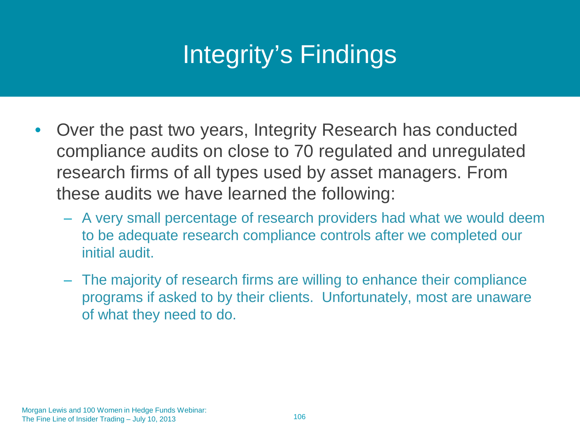# Integrity's Findings

- Over the past two years, Integrity Research has conducted compliance audits on close to 70 regulated and unregulated research firms of all types used by asset managers. From these audits we have learned the following:
	- A very small percentage of research providers had what we would deem to be adequate research compliance controls after we completed our initial audit.
	- The majority of research firms are willing to enhance their compliance programs if asked to by their clients. Unfortunately, most are unaware of what they need to do.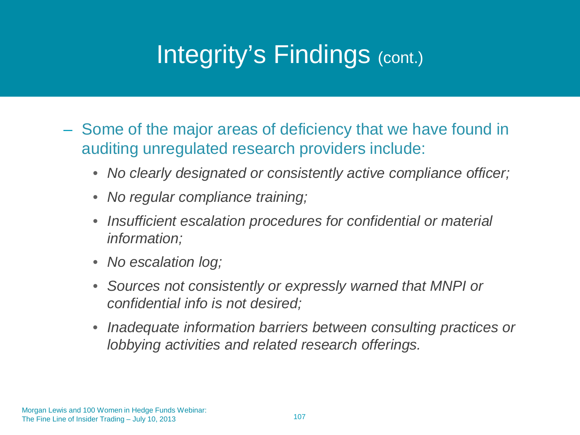### Integrity's Findings (cont.)

- Some of the major areas of deficiency that we have found in auditing unregulated research providers include:
	- *No clearly designated or consistently active compliance officer;*
	- *No regular compliance training;*
	- *Insufficient escalation procedures for confidential or material information;*
	- *No escalation log;*
	- *Sources not consistently or expressly warned that MNPI or confidential info is not desired;*
	- *Inadequate information barriers between consulting practices or lobbying activities and related research offerings.*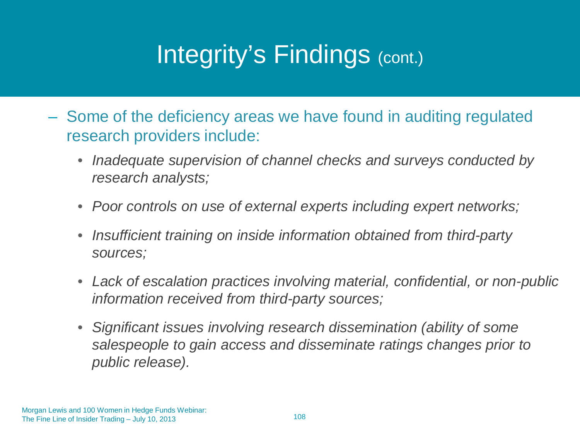### Integrity's Findings (cont.)

- Some of the deficiency areas we have found in auditing regulated research providers include:
	- *Inadequate supervision of channel checks and surveys conducted by research analysts;*
	- *Poor controls on use of external experts including expert networks;*
	- *Insufficient training on inside information obtained from third-party sources;*
	- *Lack of escalation practices involving material, confidential, or non-public information received from third-party sources;*
	- *Significant issues involving research dissemination (ability of some salespeople to gain access and disseminate ratings changes prior to public release).*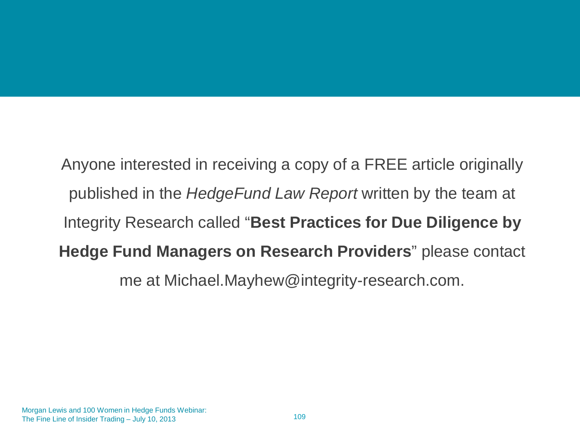Anyone interested in receiving a copy of a FREE article originally published in the *HedgeFund Law Report* written by the team at Integrity Research called "**Best Practices for Due Diligence by Hedge Fund Managers on Research Providers**" please contact me at Michael.Mayhew@integrity-research.com.